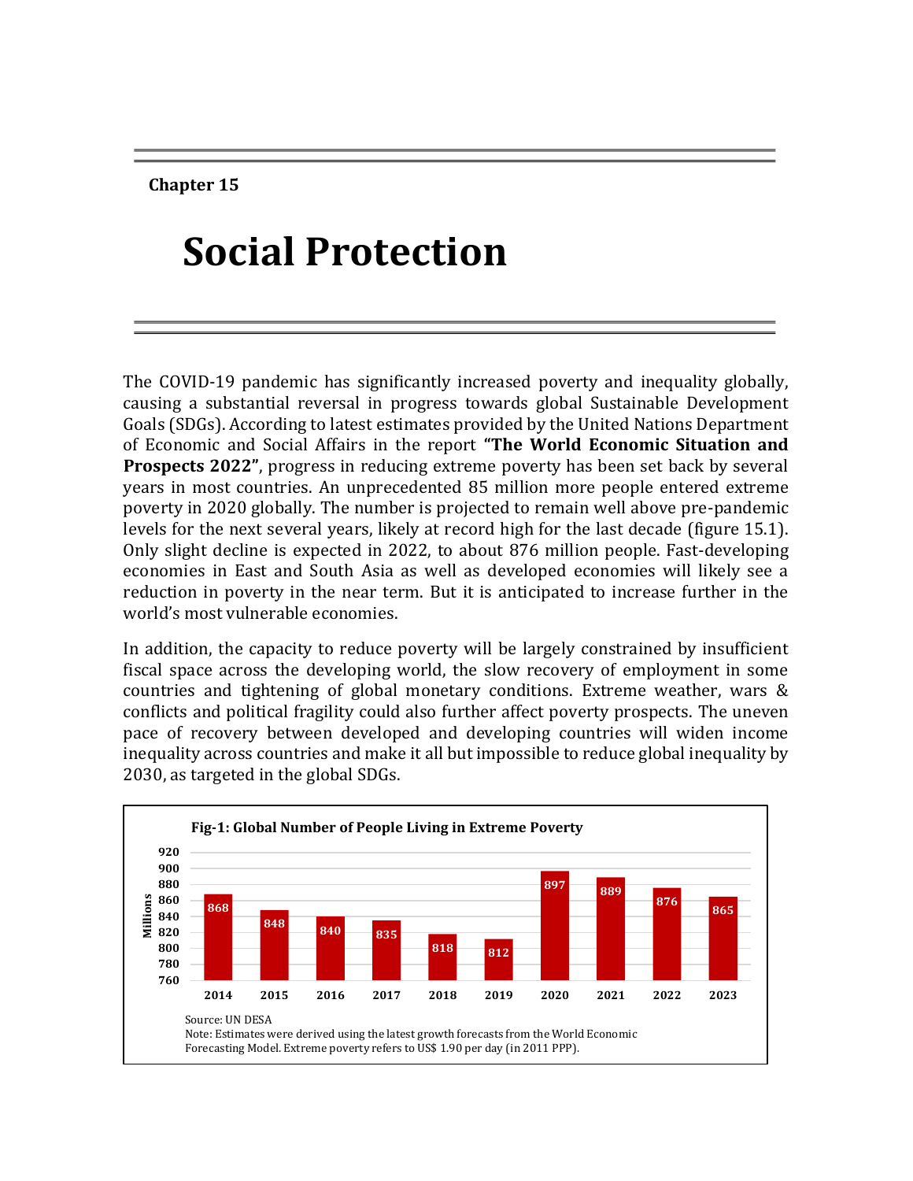**Chapter 15**

# **Social Protection**

The COVID-19 pandemic has significantly increased poverty and inequality globally, causing a substantial reversal in progress towards global Sustainable Development Goals (SDGs). According to latest estimates provided by the United Nations Department of Economic and Social Affairs in the report **"The World Economic Situation and Prospects 2022"**, progress in reducing extreme poverty has been set back by several years in most countries. An unprecedented 85 million more people entered extreme poverty in 2020 globally. The number is projected to remain well above pre-pandemic levels for the next several years, likely at record high for the last decade (figure 15.1). Only slight decline is expected in 2022, to about 876 million people. Fast-developing economies in East and South Asia as well as developed economies will likely see a reduction in poverty in the near term. But it is anticipated to increase further in the world's most vulnerable economies.

In addition, the capacity to reduce poverty will be largely constrained by insufficient fiscal space across the developing world, the slow recovery of employment in some countries and tightening of global monetary conditions. Extreme weather, wars & conflicts and political fragility could also further affect poverty prospects. The uneven pace of recovery between developed and developing countries will widen income inequality across countries and make it all but impossible to reduce global inequality by 2030, as targeted in the global SDGs.

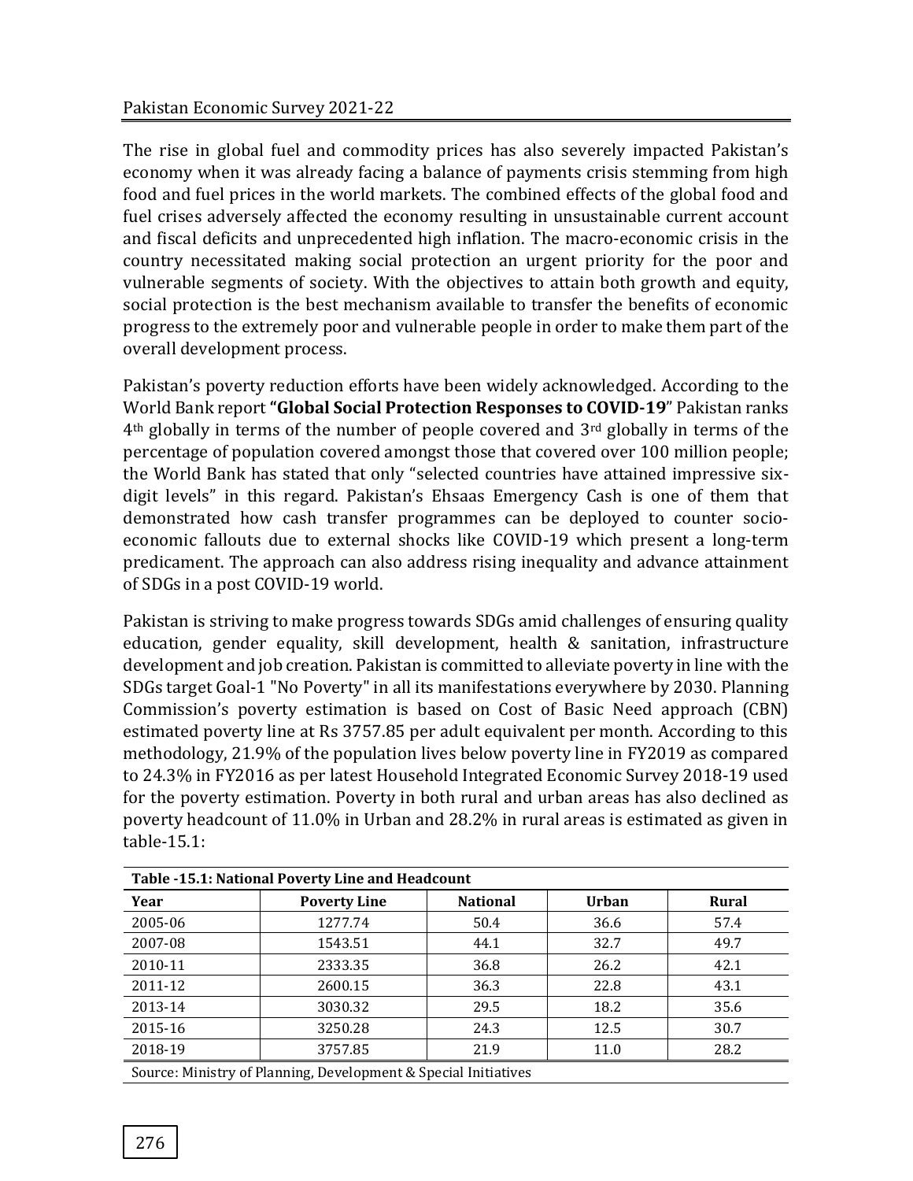The rise in global fuel and commodity prices has also severely impacted Pakistan's economy when it was already facing a balance of payments crisis stemming from high food and fuel prices in the world markets. The combined effects of the global food and fuel crises adversely affected the economy resulting in unsustainable current account and fiscal deficits and unprecedented high inflation. The macro-economic crisis in the country necessitated making social protection an urgent priority for the poor and vulnerable segments of society. With the objectives to attain both growth and equity, social protection is the best mechanism available to transfer the benefits of economic progress to the extremely poor and vulnerable people in order to make them part of the overall development process.

Pakistan's poverty reduction efforts have been widely acknowledged. According to the World Bank report **"Global Social Protection Responses to COVID-19**" Pakistan ranks 4th globally in terms of the number of people covered and 3rd globally in terms of the percentage of population covered amongst those that covered over 100 million people; the World Bank has stated that only "selected countries have attained impressive sixdigit levels" in this regard. Pakistan's Ehsaas Emergency Cash is one of them that demonstrated how cash transfer programmes can be deployed to counter socioeconomic fallouts due to external shocks like COVID-19 which present a long-term predicament. The approach can also address rising inequality and advance attainment of SDGs in a post COVID-19 world.

Pakistan is striving to make progress towards SDGs amid challenges of ensuring quality education, gender equality, skill development, health & sanitation, infrastructure development and job creation. Pakistan is committed to alleviate poverty in line with the SDGs target Goal-1 "No Poverty" in all its manifestations everywhere by 2030. Planning Commission's poverty estimation is based on Cost of Basic Need approach (CBN) estimated poverty line at Rs 3757.85 per adult equivalent per month. According to this methodology, 21.9% of the population lives below poverty line in FY2019 as compared to 24.3% in FY2016 as per latest Household Integrated Economic Survey 2018-19 used for the poverty estimation. Poverty in both rural and urban areas has also declined as poverty headcount of 11.0% in Urban and 28.2% in rural areas is estimated as given in table-15.1:

| Table -15.1: National Poverty Line and Headcount |                                                                 |                 |              |              |  |  |  |  |
|--------------------------------------------------|-----------------------------------------------------------------|-----------------|--------------|--------------|--|--|--|--|
| Year                                             | <b>Poverty Line</b>                                             | <b>National</b> | <b>Urban</b> | <b>Rural</b> |  |  |  |  |
| 2005-06                                          | 1277.74                                                         | 50.4            | 36.6         | 57.4         |  |  |  |  |
| 2007-08                                          | 1543.51                                                         | 44.1            | 32.7         | 49.7         |  |  |  |  |
| 2010-11                                          | 2333.35                                                         | 36.8            | 26.2         | 42.1         |  |  |  |  |
| 2011-12                                          | 2600.15                                                         | 36.3            | 22.8         | 43.1         |  |  |  |  |
| 2013-14                                          | 3030.32                                                         | 29.5            | 18.2         | 35.6         |  |  |  |  |
| 2015-16                                          | 3250.28                                                         | 24.3            | 12.5         | 30.7         |  |  |  |  |
| 2018-19                                          | 3757.85                                                         | 21.9            | 11.0         | 28.2         |  |  |  |  |
|                                                  | Source: Ministry of Planning, Development & Special Initiatives |                 |              |              |  |  |  |  |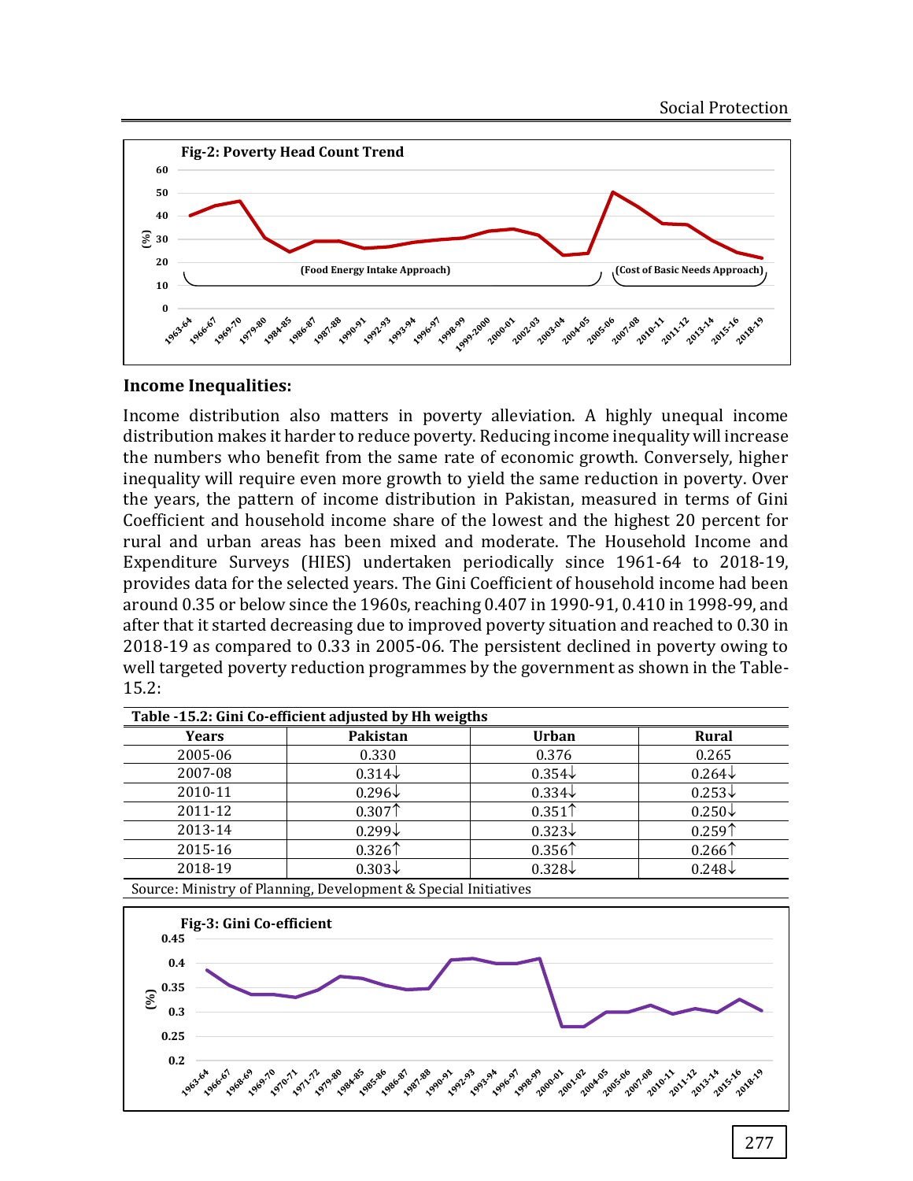

#### **Income Inequalities:**

Income distribution also matters in poverty alleviation. A highly unequal income distribution makes it harder to reduce poverty. Reducing income inequality will increase the numbers who benefit from the same rate of economic growth. Conversely, higher inequality will require even more growth to yield the same reduction in poverty. Over the years, the pattern of income distribution in Pakistan, measured in terms of Gini Coefficient and household income share of the lowest and the highest 20 percent for rural and urban areas has been mixed and moderate. The Household Income and Expenditure Surveys (HIES) undertaken periodically since 1961-64 to 2018-19, provides data for the selected years. The Gini Coefficient of household income had been around 0.35 or below since the 1960s, reaching 0.407 in 1990-91, 0.410 in 1998-99, and after that it started decreasing due to improved poverty situation and reached to 0.30 in 2018-19 as compared to 0.33 in 2005-06. The persistent declined in poverty owing to well targeted poverty reduction programmes by the government as shown in the Table-15.2:

| Table -15.2: Gini Co-efficient adjusted by Hh weigths |                                                              |                    |                    |  |  |  |  |
|-------------------------------------------------------|--------------------------------------------------------------|--------------------|--------------------|--|--|--|--|
| <b>Years</b>                                          | Pakistan                                                     | <b>Urban</b>       | <b>Rural</b>       |  |  |  |  |
| 2005-06                                               | 0.330                                                        | 0.376              | 0.265              |  |  |  |  |
| 2007-08                                               | $0.314\downarrow$                                            | $0.354\sqrt{ }$    | $0.264\downarrow$  |  |  |  |  |
| 2010-11                                               | $0.296\downarrow$                                            | $0.334\sqrt{ }$    | $0.253\downarrow$  |  |  |  |  |
| 2011-12                                               | 0.307 <sup>†</sup>                                           | 0.351 <sup>†</sup> | $0.250\downarrow$  |  |  |  |  |
| 2013-14                                               | $0.299\downarrow$                                            | $0.323\downarrow$  | 0.259 <sup>†</sup> |  |  |  |  |
| 2015-16                                               | 0.326                                                        | 0.356 <sup>†</sup> | 0.266              |  |  |  |  |
| 2018-19                                               | $0.303\downarrow$                                            | $0.328\downarrow$  | $0.248\downarrow$  |  |  |  |  |
|                                                       | Course Minister of Donning Dovelopment & Crootel Initiatives |                    |                    |  |  |  |  |

Source: Ministry of Planning, Development & Special Initiatives

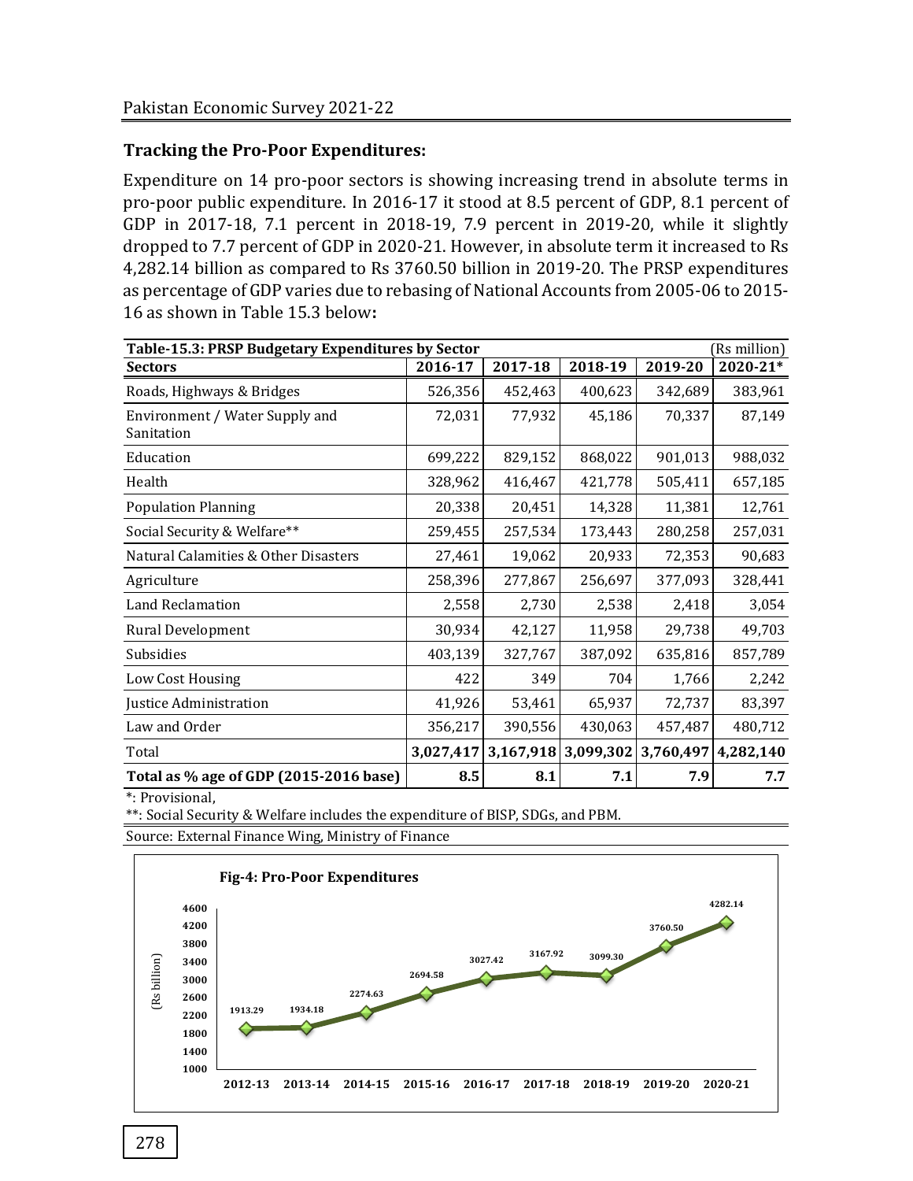### **Tracking the Pro-Poor Expenditures:**

Expenditure on 14 pro-poor sectors is showing increasing trend in absolute terms in pro-poor public expenditure. In 2016-17 it stood at 8.5 percent of GDP, 8.1 percent of GDP in 2017-18, 7.1 percent in 2018-19, 7.9 percent in 2019-20, while it slightly dropped to 7.7 percent of GDP in 2020-21. However, in absolute term it increased to Rs 4,282.14 billion as compared to Rs 3760.50 billion in 2019-20. The PRSP expenditures as percentage of GDP varies due to rebasing of National Accounts from 2005-06 to 2015- 16 as shown in Table 15.3 below**:**

| Table-15.3: PRSP Budgetary Expenditures by Sector<br>(Rs million) |           |           |           |           |           |  |  |  |
|-------------------------------------------------------------------|-----------|-----------|-----------|-----------|-----------|--|--|--|
| <b>Sectors</b>                                                    | 2016-17   | 2017-18   | 2018-19   | 2019-20   | 2020-21*  |  |  |  |
| Roads, Highways & Bridges                                         | 526,356   | 452,463   | 400,623   | 342,689   | 383,961   |  |  |  |
| Environment / Water Supply and<br>Sanitation                      | 72,031    | 77,932    | 45,186    | 70,337    | 87,149    |  |  |  |
| Education                                                         | 699,222   | 829,152   | 868,022   | 901,013   | 988,032   |  |  |  |
| Health                                                            | 328,962   | 416,467   | 421,778   | 505,411   | 657,185   |  |  |  |
| <b>Population Planning</b>                                        | 20,338    | 20,451    | 14,328    | 11,381    | 12,761    |  |  |  |
| Social Security & Welfare**                                       | 259,455   | 257,534   | 173,443   | 280,258   | 257,031   |  |  |  |
| Natural Calamities & Other Disasters                              | 27,461    | 19,062    | 20,933    | 72,353    | 90,683    |  |  |  |
| Agriculture                                                       | 258,396   | 277,867   | 256,697   | 377,093   | 328,441   |  |  |  |
| Land Reclamation                                                  | 2,558     | 2,730     | 2,538     | 2,418     | 3,054     |  |  |  |
| Rural Development                                                 | 30,934    | 42,127    | 11,958    | 29,738    | 49,703    |  |  |  |
| Subsidies                                                         | 403,139   | 327,767   | 387,092   | 635,816   | 857,789   |  |  |  |
| Low Cost Housing                                                  | 422       | 349       | 704       | 1,766     | 2,242     |  |  |  |
| Justice Administration                                            | 41,926    | 53,461    | 65,937    | 72,737    | 83,397    |  |  |  |
| Law and Order                                                     | 356,217   | 390,556   | 430,063   | 457,487   | 480,712   |  |  |  |
| Total                                                             | 3,027,417 | 3,167,918 | 3,099,302 | 3,760,497 | 4,282,140 |  |  |  |
| Total as % age of GDP (2015-2016 base)                            | 8.5       | 8.1       | 7.1       | 7.9       | 7.7       |  |  |  |

\*: Provisional,

\*\*: Social Security & Welfare includes the expenditure of BISP, SDGs, and PBM.

Source: External Finance Wing, Ministry of Finance

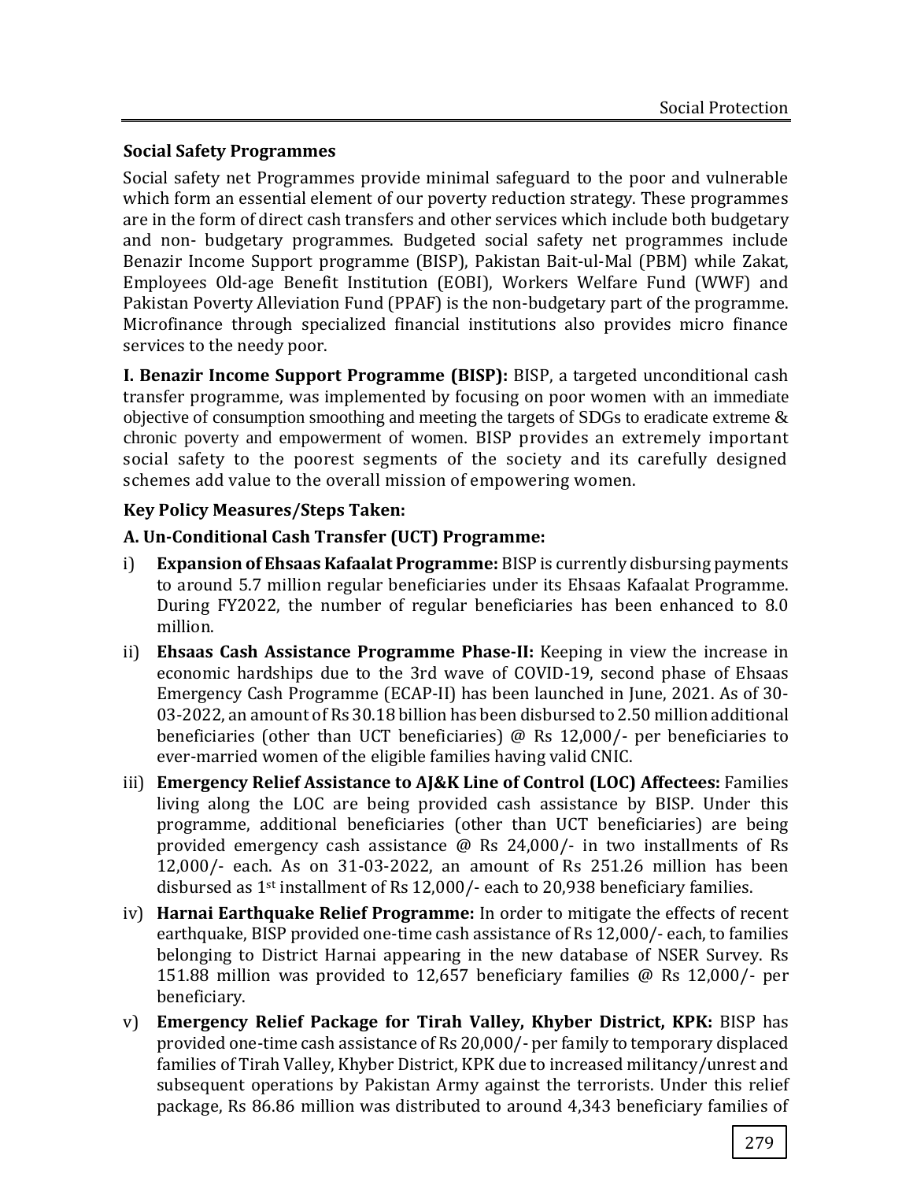# **Social Safety Programmes**

Social safety net Programmes provide minimal safeguard to the poor and vulnerable which form an essential element of our poverty reduction strategy. These programmes are in the form of direct cash transfers and other services which include both budgetary and non- budgetary programmes. Budgeted social safety net programmes include Benazir Income Support programme (BISP), Pakistan Bait-ul-Mal (PBM) while Zakat, Employees Old-age Benefit Institution (EOBI), Workers Welfare Fund (WWF) and Pakistan Poverty Alleviation Fund (PPAF) is the non-budgetary part of the programme. Microfinance through specialized financial institutions also provides micro finance services to the needy poor.

**I. Benazir Income Support Programme (BISP):** BISP, a targeted unconditional cash transfer programme, was implemented by focusing on poor women with an immediate objective of consumption smoothing and meeting the targets of SDGs to eradicate extreme & chronic poverty and empowerment of women. BISP provides an extremely important social safety to the poorest segments of the society and its carefully designed schemes add value to the overall mission of empowering women.

# **Key Policy Measures/Steps Taken:**

# **A. Un-Conditional Cash Transfer (UCT) Programme:**

- i) **Expansion of Ehsaas Kafaalat Programme:** BISP is currently disbursing payments to around 5.7 million regular beneficiaries under its Ehsaas Kafaalat Programme. During FY2022, the number of regular beneficiaries has been enhanced to 8.0 million.
- ii) **Ehsaas Cash Assistance Programme Phase-II:** Keeping in view the increase in economic hardships due to the 3rd wave of COVID-19, second phase of Ehsaas Emergency Cash Programme (ECAP-II) has been launched in June, 2021. As of 30- 03-2022, an amount of Rs 30.18 billion has been disbursed to 2.50 million additional beneficiaries (other than UCT beneficiaries) @ Rs 12,000/- per beneficiaries to ever-married women of the eligible families having valid CNIC.
- iii) **Emergency Relief Assistance to AJ&K Line of Control (LOC) Affectees:** Families living along the LOC are being provided cash assistance by BISP. Under this programme, additional beneficiaries (other than UCT beneficiaries) are being provided emergency cash assistance @ Rs 24,000/- in two installments of Rs 12,000/- each. As on 31-03-2022, an amount of Rs 251.26 million has been disbursed as 1st installment of Rs 12,000/- each to 20,938 beneficiary families.
- iv) **Harnai Earthquake Relief Programme:** In order to mitigate the effects of recent earthquake, BISP provided one-time cash assistance of Rs 12,000/- each, to families belonging to District Harnai appearing in the new database of NSER Survey. Rs 151.88 million was provided to 12,657 beneficiary families @ Rs 12,000/- per beneficiary.
- v) **Emergency Relief Package for Tirah Valley, Khyber District, KPK:** BISP has provided one-time cash assistance of Rs 20,000/- per family to temporary displaced families of Tirah Valley, Khyber District, KPK due to increased militancy/unrest and subsequent operations by Pakistan Army against the terrorists. Under this relief package, Rs 86.86 million was distributed to around 4,343 beneficiary families of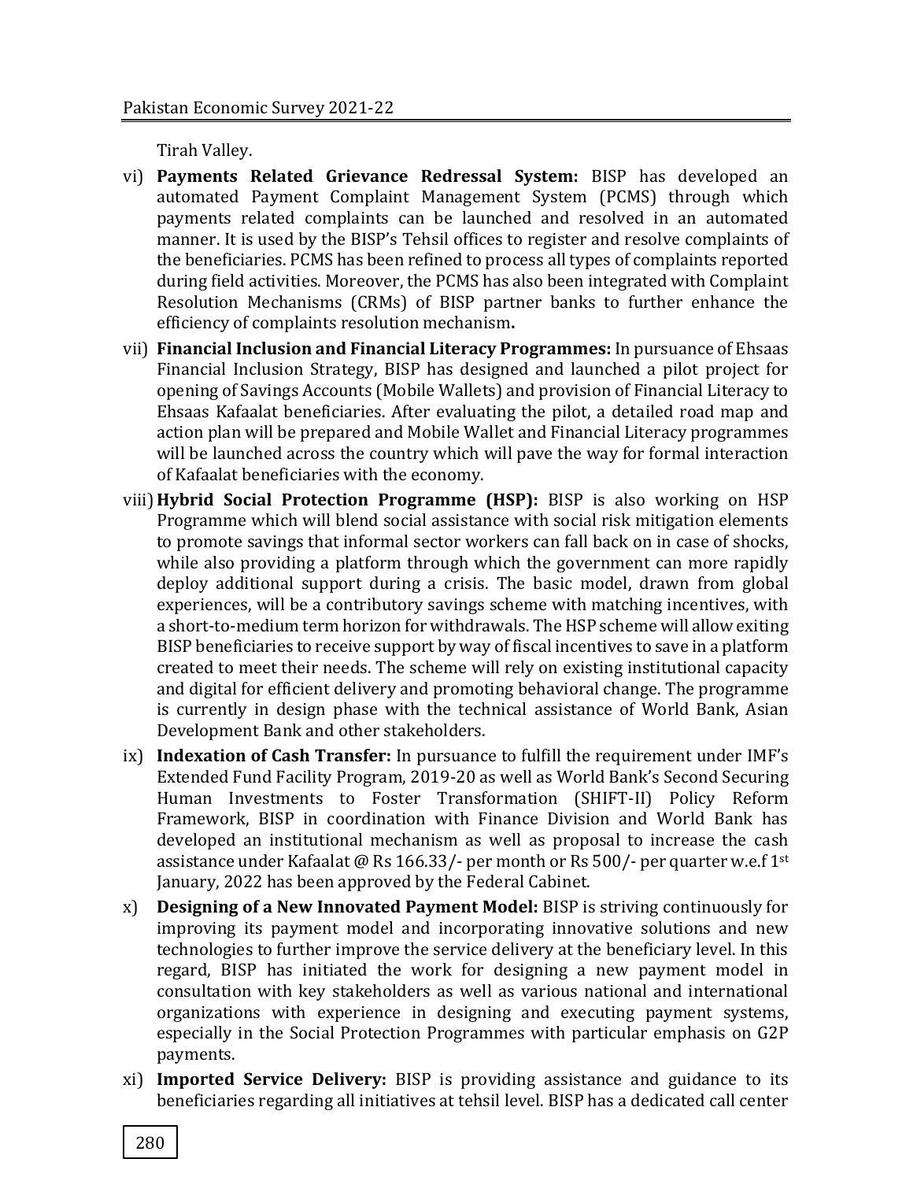Tirah Valley.

- vi) **Payments Related Grievance Redressal System:** BISP has developed an automated Payment Complaint Management System (PCMS) through which payments related complaints can be launched and resolved in an automated manner. It is used by the BISP's Tehsil offices to register and resolve complaints of the beneficiaries. PCMS has been refined to process all types of complaints reported during field activities. Moreover, the PCMS has also been integrated with Complaint Resolution Mechanisms (CRMs) of BISP partner banks to further enhance the efficiency of complaints resolution mechanism**.**
- vii) **Financial Inclusion and Financial Literacy Programmes:** In pursuance of Ehsaas Financial Inclusion Strategy, BISP has designed and launched a pilot project for opening of Savings Accounts (Mobile Wallets) and provision of Financial Literacy to Ehsaas Kafaalat beneficiaries. After evaluating the pilot, a detailed road map and action plan will be prepared and Mobile Wallet and Financial Literacy programmes will be launched across the country which will pave the way for formal interaction of Kafaalat beneficiaries with the economy.
- viii)**Hybrid Social Protection Programme (HSP):** BISP is also working on HSP Programme which will blend social assistance with social risk mitigation elements to promote savings that informal sector workers can fall back on in case of shocks, while also providing a platform through which the government can more rapidly deploy additional support during a crisis. The basic model, drawn from global experiences, will be a contributory savings scheme with matching incentives, with a short-to-medium term horizon for withdrawals. The HSP scheme will allow exiting BISP beneficiaries to receive support by way of fiscal incentives to save in a platform created to meet their needs. The scheme will rely on existing institutional capacity and digital for efficient delivery and promoting behavioral change. The programme is currently in design phase with the technical assistance of World Bank, Asian Development Bank and other stakeholders.
- ix) **Indexation of Cash Transfer:** In pursuance to fulfill the requirement under IMF's Extended Fund Facility Program, 2019-20 as well as World Bank's Second Securing Human Investments to Foster Transformation (SHIFT-II) Policy Reform Framework, BISP in coordination with Finance Division and World Bank has developed an institutional mechanism as well as proposal to increase the cash assistance under Kafaalat @ Rs 166.33/- per month or Rs 500/- per quarter w.e.f 1st January, 2022 has been approved by the Federal Cabinet.
- x) **Designing of a New Innovated Payment Model:** BISP is striving continuously for improving its payment model and incorporating innovative solutions and new technologies to further improve the service delivery at the beneficiary level. In this regard, BISP has initiated the work for designing a new payment model in consultation with key stakeholders as well as various national and international organizations with experience in designing and executing payment systems, especially in the Social Protection Programmes with particular emphasis on G2P payments.
- xi) **Imported Service Delivery:** BISP is providing assistance and guidance to its beneficiaries regarding all initiatives at tehsil level. BISP has a dedicated call center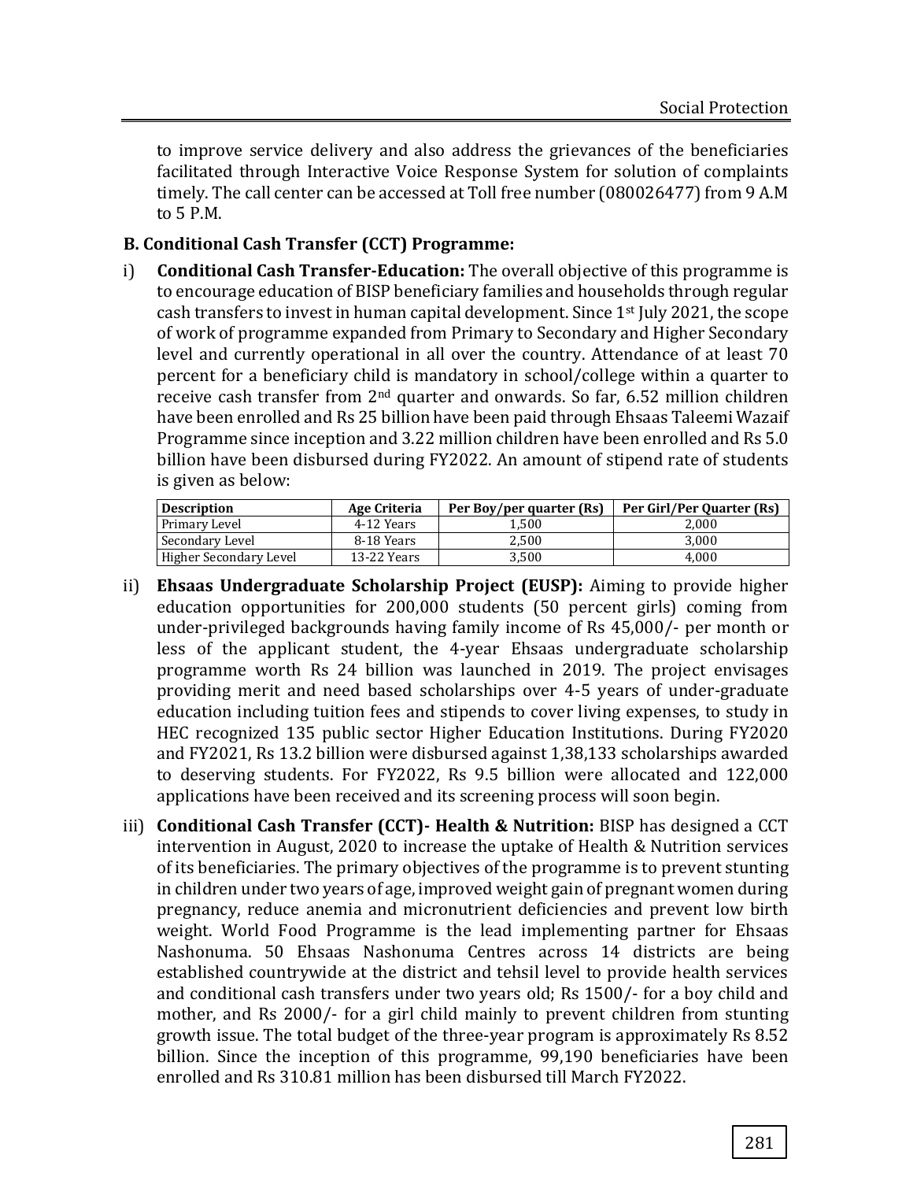to improve service delivery and also address the grievances of the beneficiaries facilitated through Interactive Voice Response System for solution of complaints timely. The call center can be accessed at Toll free number (080026477) from 9 A.M to 5 P.M.

### **B. Conditional Cash Transfer (CCT) Programme:**

i) **Conditional Cash Transfer-Education:** The overall objective of this programme is to encourage education of BISP beneficiary families and households through regular cash transfers to invest in human capital development. Since 1st July 2021, the scope of work of programme expanded from Primary to Secondary and Higher Secondary level and currently operational in all over the country. Attendance of at least 70 percent for a beneficiary child is mandatory in school/college within a quarter to receive cash transfer from 2nd quarter and onwards. So far, 6.52 million children have been enrolled and Rs 25 billion have been paid through Ehsaas Taleemi Wazaif Programme since inception and 3.22 million children have been enrolled and Rs 5.0 billion have been disbursed during FY2022. An amount of stipend rate of students is given as below:

| <b>Description</b>     | Age Criteria | Per Boy/per quarter (Rs) | Per Girl/Per Quarter (Rs) |
|------------------------|--------------|--------------------------|---------------------------|
| Primary Level          | 4-12 Years   | 1.500                    | 2.000                     |
| Secondary Level        | 8-18 Years   | 2.500                    | 3.000                     |
| Higher Secondary Level | 13-22 Years  | 3.500                    | 4.000                     |

- ii) **Ehsaas Undergraduate Scholarship Project (EUSP):** Aiming to provide higher education opportunities for 200,000 students (50 percent girls) coming from under-privileged backgrounds having family income of Rs 45,000/- per month or less of the applicant student, the 4-year Ehsaas undergraduate scholarship programme worth Rs 24 billion was launched in 2019. The project envisages providing merit and need based scholarships over 4-5 years of under-graduate education including tuition fees and stipends to cover living expenses, to study in HEC recognized 135 public sector Higher Education Institutions. During FY2020 and FY2021, Rs 13.2 billion were disbursed against 1,38,133 scholarships awarded to deserving students. For FY2022, Rs 9.5 billion were allocated and 122,000 applications have been received and its screening process will soon begin.
- iii) **Conditional Cash Transfer (CCT)- Health & Nutrition:** BISP has designed a CCT intervention in August, 2020 to increase the uptake of Health & Nutrition services of its beneficiaries. The primary objectives of the programme is to prevent stunting in children under two years of age, improved weight gain of pregnant women during pregnancy, reduce anemia and micronutrient deficiencies and prevent low birth weight. World Food Programme is the lead implementing partner for Ehsaas Nashonuma. 50 Ehsaas Nashonuma Centres across 14 districts are being established countrywide at the district and tehsil level to provide health services and conditional cash transfers under two years old; Rs 1500/- for a boy child and mother, and Rs 2000/- for a girl child mainly to prevent children from stunting growth issue. The total budget of the three-year program is approximately Rs 8.52 billion. Since the inception of this programme, 99,190 beneficiaries have been enrolled and Rs 310.81 million has been disbursed till March FY2022.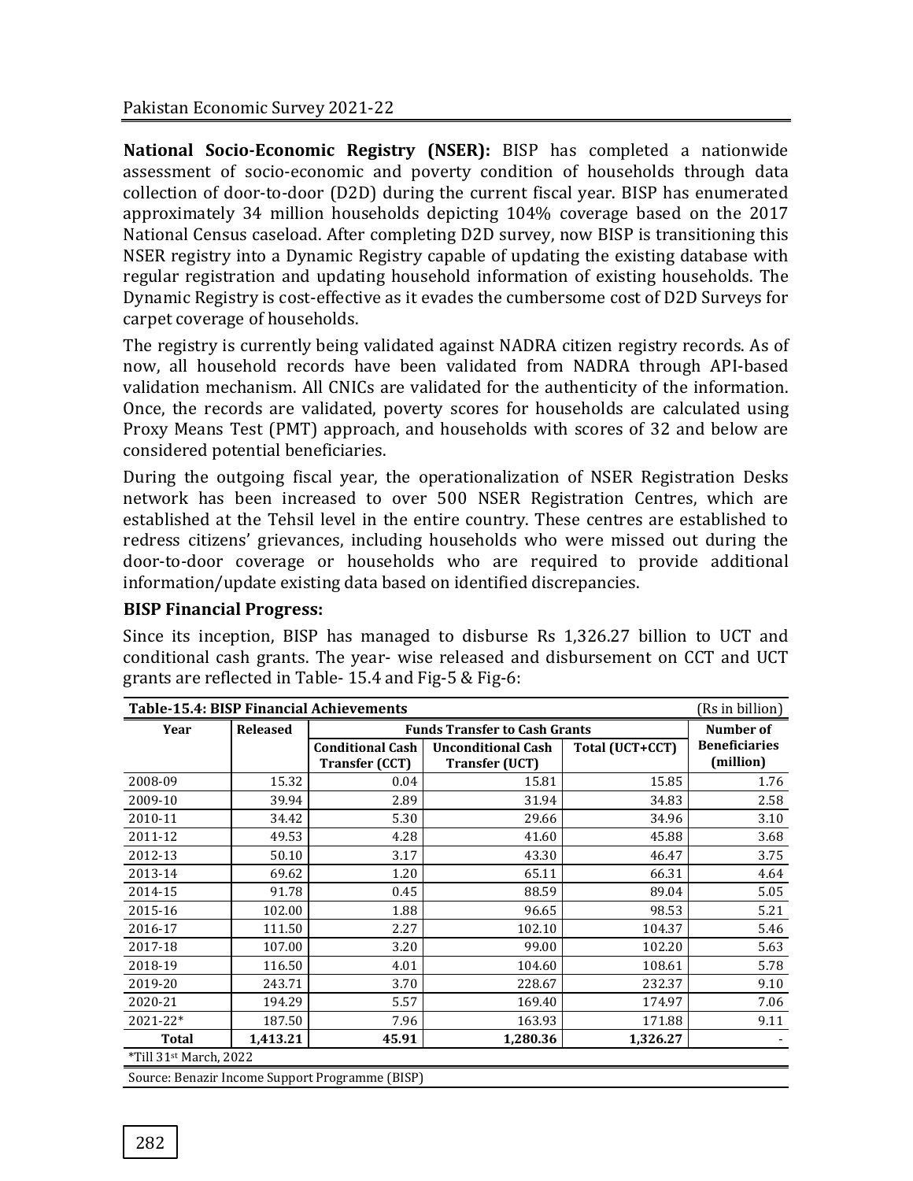**National Socio-Economic Registry (NSER):** BISP has completed a nationwide assessment of socio-economic and poverty condition of households through data collection of door-to-door (D2D) during the current fiscal year. BISP has enumerated approximately 34 million households depicting 104% coverage based on the 2017 National Census caseload. After completing D2D survey, now BISP is transitioning this NSER registry into a Dynamic Registry capable of updating the existing database with regular registration and updating household information of existing households. The Dynamic Registry is cost-effective as it evades the cumbersome cost of D2D Surveys for carpet coverage of households.

The registry is currently being validated against NADRA citizen registry records. As of now, all household records have been validated from NADRA through API-based validation mechanism. All CNICs are validated for the authenticity of the information. Once, the records are validated, poverty scores for households are calculated using Proxy Means Test (PMT) approach, and households with scores of 32 and below are considered potential beneficiaries.

During the outgoing fiscal year, the operationalization of NSER Registration Desks network has been increased to over 500 NSER Registration Centres, which are established at the Tehsil level in the entire country. These centres are established to redress citizens' grievances, including households who were missed out during the door-to-door coverage or households who are required to provide additional information/update existing data based on identified discrepancies.

Since its inception, BISP has managed to disburse Rs 1,326.27 billion to UCT and conditional cash grants. The year- wise released and disbursement on CCT and UCT grants are reflected in Table- 15.4 and Fig-5 & Fig-6:

| <b>Table-15.4: BISP Financial Achievements</b><br>(Rs in billion) |                 |                                                  |                                                    |                 |                                   |  |  |  |  |
|-------------------------------------------------------------------|-----------------|--------------------------------------------------|----------------------------------------------------|-----------------|-----------------------------------|--|--|--|--|
| Year                                                              | <b>Released</b> |                                                  | <b>Funds Transfer to Cash Grants</b>               |                 |                                   |  |  |  |  |
|                                                                   |                 | <b>Conditional Cash</b><br><b>Transfer (CCT)</b> | <b>Unconditional Cash</b><br><b>Transfer (UCT)</b> | Total (UCT+CCT) | <b>Beneficiaries</b><br>(million) |  |  |  |  |
| 2008-09                                                           | 15.32           | 0.04                                             | 15.81                                              | 15.85           | 1.76                              |  |  |  |  |
| 2009-10                                                           | 39.94           | 2.89                                             | 31.94                                              | 34.83           | 2.58                              |  |  |  |  |
| 2010-11                                                           | 34.42           | 5.30                                             | 29.66                                              | 34.96           | 3.10                              |  |  |  |  |
| 2011-12                                                           | 49.53           | 4.28                                             | 41.60                                              | 45.88           | 3.68                              |  |  |  |  |
| 2012-13                                                           | 50.10           | 3.17                                             | 43.30                                              | 46.47           | 3.75                              |  |  |  |  |
| 2013-14                                                           | 69.62           | 1.20                                             | 65.11                                              | 66.31           | 4.64                              |  |  |  |  |
| 2014-15                                                           | 91.78           | 0.45                                             | 88.59                                              | 89.04           | 5.05                              |  |  |  |  |
| 2015-16                                                           | 102.00          | 1.88                                             | 96.65                                              | 98.53           | 5.21                              |  |  |  |  |
| 2016-17                                                           | 111.50          | 2.27                                             | 102.10                                             | 104.37          | 5.46                              |  |  |  |  |
| 2017-18                                                           | 107.00          | 3.20                                             | 99.00                                              | 102.20          | 5.63                              |  |  |  |  |
| 2018-19                                                           | 116.50          | 4.01                                             | 104.60                                             | 108.61          | 5.78                              |  |  |  |  |
| 2019-20                                                           | 243.71          | 3.70                                             | 228.67                                             | 232.37          | 9.10                              |  |  |  |  |
| 2020-21                                                           | 194.29          | 5.57                                             | 169.40                                             | 174.97          | 7.06                              |  |  |  |  |
| $2021 - 22*$                                                      | 187.50          | 7.96                                             | 163.93                                             | 171.88          | 9.11                              |  |  |  |  |
| <b>Total</b>                                                      | 1,413.21        | 45.91                                            | 1,280.36                                           | 1,326.27        |                                   |  |  |  |  |
| *Till 31 <sup>st</sup> March, 2022                                |                 |                                                  |                                                    |                 |                                   |  |  |  |  |
|                                                                   |                 | Source: Benazir Income Support Programme (BISP)  |                                                    |                 |                                   |  |  |  |  |

# **BISP Financial Progress:**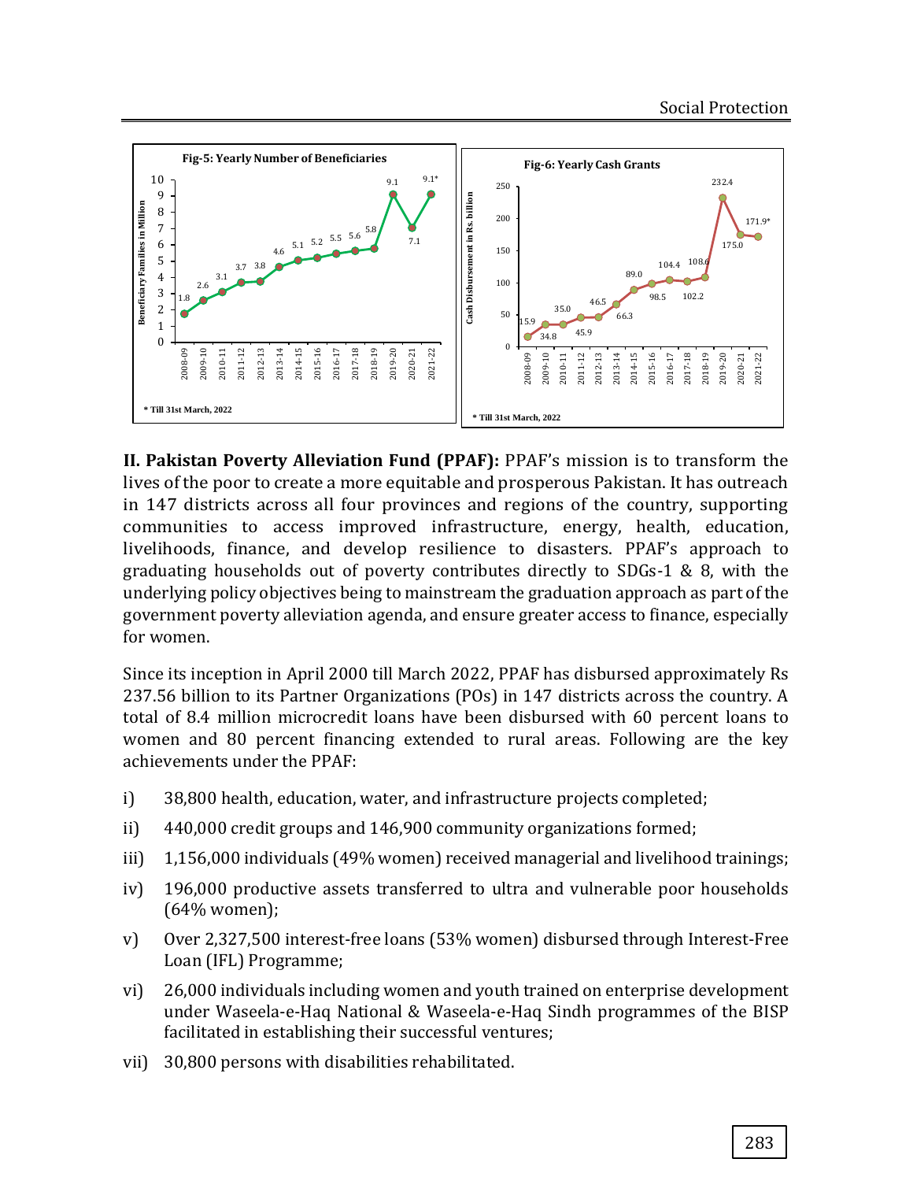

**II. Pakistan Poverty Alleviation Fund (PPAF):** PPAF's mission is to transform the lives of the poor to create a more equitable and prosperous Pakistan. It has outreach in 147 districts across all four provinces and regions of the country, supporting communities to access improved infrastructure, energy, health, education, livelihoods, finance, and develop resilience to disasters. PPAF's approach to graduating households out of poverty contributes directly to SDGs-1 & 8, with the underlying policy objectives being to mainstream the graduation approach as part of the government poverty alleviation agenda, and ensure greater access to finance, especially for women.

Since its inception in April 2000 till March 2022, PPAF has disbursed approximately Rs 237.56 billion to its Partner Organizations (POs) in 147 districts across the country. A total of 8.4 million microcredit loans have been disbursed with 60 percent loans to women and 80 percent financing extended to rural areas. Following are the key achievements under the PPAF:

- i) 38,800 health, education, water, and infrastructure projects completed;
- ii) 440,000 credit groups and 146,900 community organizations formed;
- iii) 1,156,000 individuals (49% women) received managerial and livelihood trainings;
- iv) 196,000 productive assets transferred to ultra and vulnerable poor households (64% women);
- v) Over 2,327,500 interest-free loans (53% women) disbursed through Interest-Free Loan (IFL) Programme;
- vi) 26,000 individuals including women and youth trained on enterprise development under Waseela-e-Haq National & Waseela-e-Haq Sindh programmes of the BISP facilitated in establishing their successful ventures;
- vii) 30,800 persons with disabilities rehabilitated.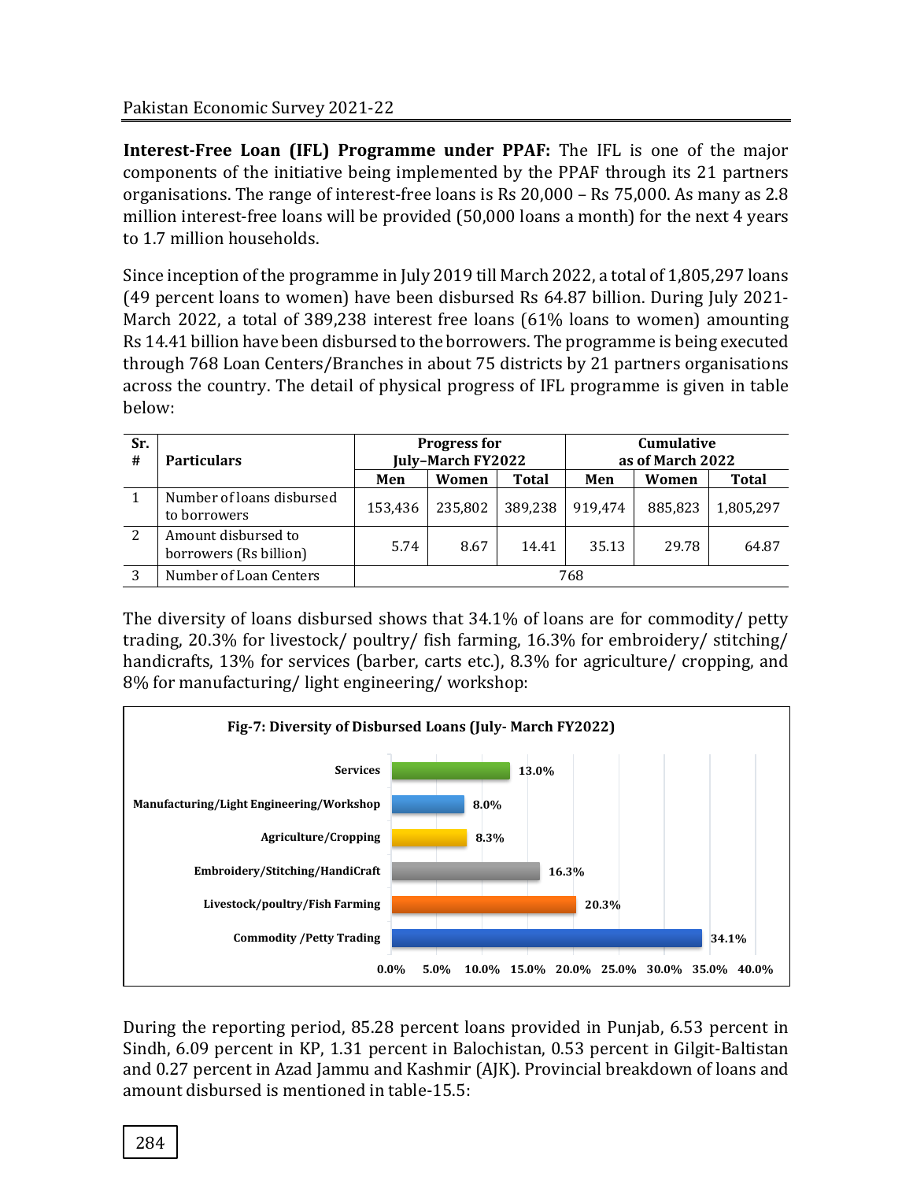**Interest-Free Loan (IFL) Programme under PPAF:** The IFL is one of the major components of the initiative being implemented by the PPAF through its 21 partners organisations. The range of interest-free loans is Rs 20,000 – Rs 75,000. As many as 2.8 million interest-free loans will be provided (50,000 loans a month) for the next 4 years to 1.7 million households.

Since inception of the programme in July 2019 till March 2022, a total of 1,805,297 loans (49 percent loans to women) have been disbursed Rs 64.87 billion. During July 2021- March 2022, a total of 389,238 interest free loans (61% loans to women) amounting Rs 14.41 billion have been disbursed to the borrowers. The programme is being executed through 768 Loan Centers/Branches in about 75 districts by 21 partners organisations across the country. The detail of physical progress of IFL programme is given in table below:

| Sr.<br># | <b>Particulars</b>                            | <b>Progress for</b><br>July-March FY2022 |         |              | <b>Cumulative</b><br>as of March 2022 |         |              |
|----------|-----------------------------------------------|------------------------------------------|---------|--------------|---------------------------------------|---------|--------------|
|          |                                               | Men                                      | Women   | <b>Total</b> | Men                                   | Women   | <b>Total</b> |
|          | Number of loans disbursed<br>to borrowers     | 153,436                                  | 235,802 | 389,238      | 919,474                               | 885,823 | 1,805,297    |
| 2        | Amount disbursed to<br>borrowers (Rs billion) | 5.74                                     | 8.67    | 14.41        | 35.13                                 | 29.78   | 64.87        |
| 3        | Number of Loan Centers                        | 768                                      |         |              |                                       |         |              |

The diversity of loans disbursed shows that 34.1% of loans are for commodity/ petty trading, 20.3% for livestock/ poultry/ fish farming, 16.3% for embroidery/ stitching/ handicrafts, 13% for services (barber, carts etc.), 8.3% for agriculture/ cropping, and 8% for manufacturing/ light engineering/ workshop:



During the reporting period, 85.28 percent loans provided in Punjab, 6.53 percent in Sindh, 6.09 percent in KP, 1.31 percent in Balochistan, 0.53 percent in Gilgit-Baltistan and 0.27 percent in Azad Jammu and Kashmir (AJK). Provincial breakdown of loans and amount disbursed is mentioned in table-15.5: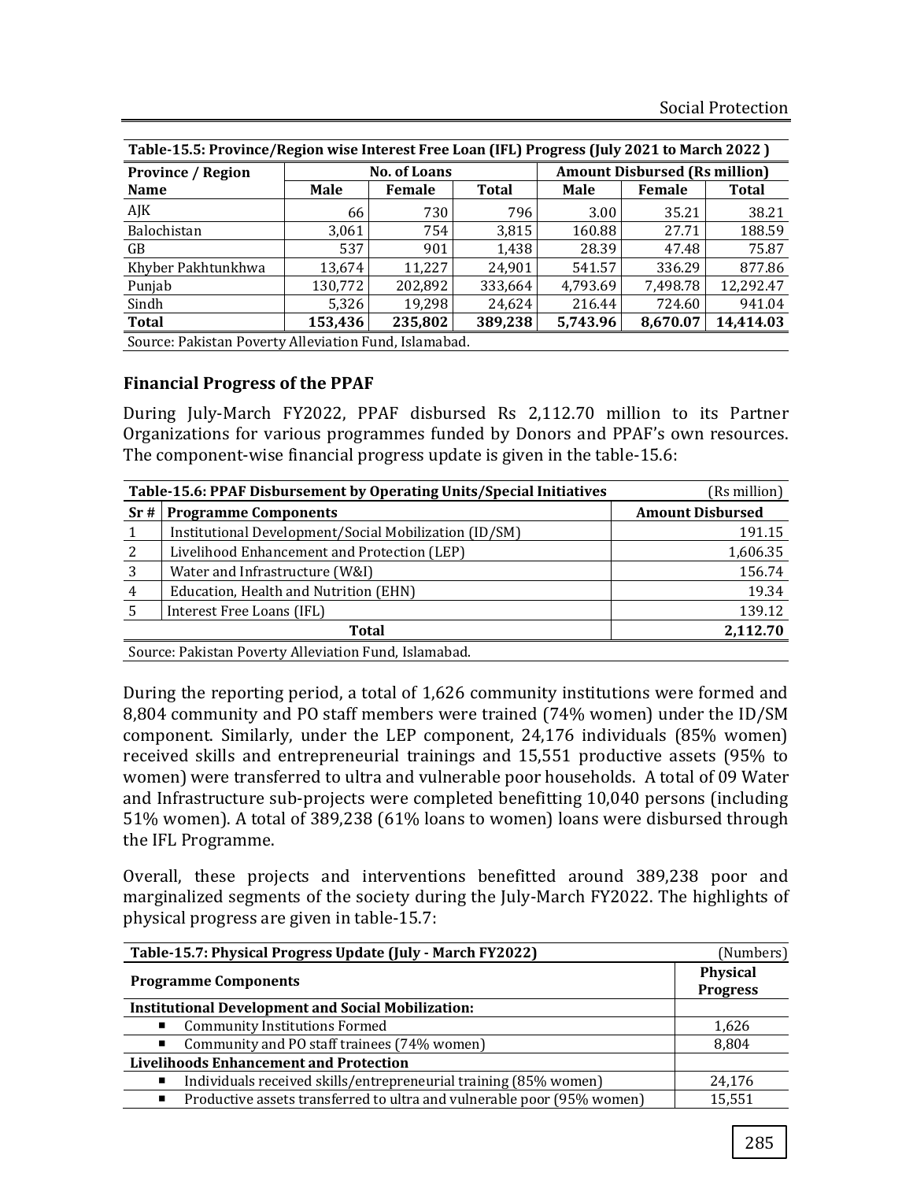| Table-15.5: Province/Region wise Interest Free Loan (IFL) Progress (July 2021 to March 2022) |                                                       |                     |              |             |                                      |           |  |
|----------------------------------------------------------------------------------------------|-------------------------------------------------------|---------------------|--------------|-------------|--------------------------------------|-----------|--|
| <b>Province / Region</b>                                                                     |                                                       | <b>No. of Loans</b> |              |             | <b>Amount Disbursed (Rs million)</b> |           |  |
| <b>Name</b>                                                                                  | Male                                                  | Female              | <b>Total</b> | <b>Male</b> | Female                               | Total     |  |
| AJK                                                                                          | 66                                                    | 730                 | 796          | 3.00        | 35.21                                | 38.21     |  |
| Balochistan                                                                                  | 3,061                                                 | 754                 | 3,815        | 160.88      | 27.71                                | 188.59    |  |
| GB                                                                                           | 537                                                   | 901                 | 1,438        | 28.39       | 47.48                                | 75.87     |  |
| Khyber Pakhtunkhwa                                                                           | 13.674                                                | 11.227              | 24.901       | 541.57      | 336.29                               | 877.86    |  |
| Punjab                                                                                       | 130,772                                               | 202.892             | 333,664      | 4,793.69    | 7,498.78                             | 12,292.47 |  |
| Sindh                                                                                        | 5,326                                                 | 19.298              | 24.624       | 216.44      | 724.60                               | 941.04    |  |
| <b>Total</b>                                                                                 | 153,436                                               | 235,802             | 389,238      | 5,743.96    | 8,670.07                             | 14,414.03 |  |
|                                                                                              | Source: Pakistan Poverty Alleviation Fund, Islamabad. |                     |              |             |                                      |           |  |

**Table-15.5: Province/Region wise Interest Free Loan (IFL) Progress (July 2021 to March 2022 )**

## **Financial Progress of the PPAF**

During July-March FY2022, PPAF disbursed Rs 2,112.70 million to its Partner Organizations for various programmes funded by Donors and PPAF's own resources. The component-wise financial progress update is given in the table-15.6:

|                          | Table-15.6: PPAF Disbursement by Operating Units/Special Initiatives | (Rs million)            |  |  |  |  |  |
|--------------------------|----------------------------------------------------------------------|-------------------------|--|--|--|--|--|
| Sr#                      | <b>Programme Components</b>                                          | <b>Amount Disbursed</b> |  |  |  |  |  |
|                          | Institutional Development/Social Mobilization (ID/SM)                | 191.15                  |  |  |  |  |  |
| 2                        | Livelihood Enhancement and Protection (LEP)                          | 1,606.35                |  |  |  |  |  |
| 3                        | Water and Infrastructure (W&I)                                       | 156.74                  |  |  |  |  |  |
| 4                        | Education, Health and Nutrition (EHN)                                | 19.34                   |  |  |  |  |  |
|                          | Interest Free Loans (IFL)                                            | 139.12                  |  |  |  |  |  |
| 2,112.70<br><b>Total</b> |                                                                      |                         |  |  |  |  |  |
|                          | Source: Pakistan Poverty Alleviation Fund, Islamabad.                |                         |  |  |  |  |  |

During the reporting period, a total of 1,626 community institutions were formed and 8,804 community and PO staff members were trained (74% women) under the ID/SM component. Similarly, under the LEP component, 24,176 individuals (85% women) received skills and entrepreneurial trainings and 15,551 productive assets (95% to women) were transferred to ultra and vulnerable poor households. A total of 09 Water and Infrastructure sub-projects were completed benefitting 10,040 persons (including 51% women). A total of 389,238 (61% loans to women) loans were disbursed through the IFL Programme.

Overall, these projects and interventions benefitted around 389,238 poor and marginalized segments of the society during the July-March FY2022. The highlights of physical progress are given in table-15.7:

| Table-15.7: Physical Progress Update (July - March FY2022)             | (Numbers)                          |
|------------------------------------------------------------------------|------------------------------------|
| <b>Programme Components</b>                                            | <b>Physical</b><br><b>Progress</b> |
| <b>Institutional Development and Social Mobilization:</b>              |                                    |
| <b>Community Institutions Formed</b>                                   | 1,626                              |
| Community and PO staff trainees (74% women)                            | 8,804                              |
| <b>Livelihoods Enhancement and Protection</b>                          |                                    |
| Individuals received skills/entrepreneurial training (85% women)<br>٠  | 24,176                             |
| Productive assets transferred to ultra and vulnerable poor (95% women) | 15,551                             |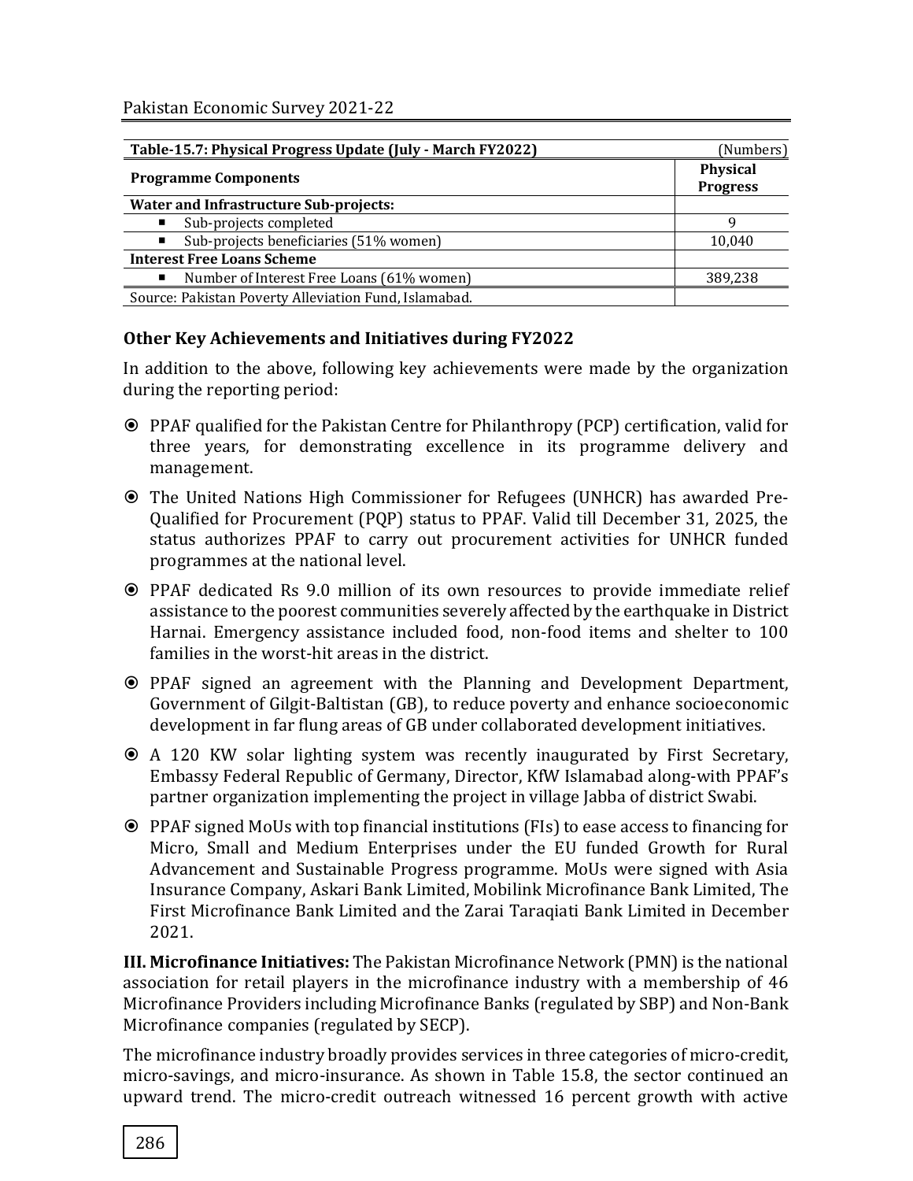| Table-15.7: Physical Progress Update (July - March FY2022) | (Numbers)                          |
|------------------------------------------------------------|------------------------------------|
| <b>Programme Components</b>                                | <b>Physical</b><br><b>Progress</b> |
| <b>Water and Infrastructure Sub-projects:</b>              |                                    |
| Sub-projects completed                                     | Q                                  |
| Sub-projects beneficiaries (51% women)<br>٠                | 10,040                             |
| <b>Interest Free Loans Scheme</b>                          |                                    |
| Number of Interest Free Loans (61% women)                  | 389,238                            |
| Source: Pakistan Poverty Alleviation Fund, Islamabad.      |                                    |

#### **Other Key Achievements and Initiatives during FY2022**

In addition to the above, following key achievements were made by the organization during the reporting period:

- PPAF qualified for the Pakistan Centre for Philanthropy (PCP) certification, valid for three years, for demonstrating excellence in its programme delivery and management.
- The United Nations High Commissioner for Refugees (UNHCR) has awarded Pre-Qualified for Procurement (PQP) status to PPAF. Valid till December 31, 2025, the status authorizes PPAF to carry out procurement activities for UNHCR funded programmes at the national level.
- PPAF dedicated Rs 9.0 million of its own resources to provide immediate relief assistance to the poorest communities severely affected by the earthquake in District Harnai. Emergency assistance included food, non-food items and shelter to 100 families in the worst-hit areas in the district.
- PPAF signed an agreement with the Planning and Development Department, Government of Gilgit-Baltistan (GB), to reduce poverty and enhance socioeconomic development in far flung areas of GB under collaborated development initiatives.
- A 120 KW solar lighting system was recently inaugurated by First Secretary, Embassy Federal Republic of Germany, Director, KfW Islamabad along-with PPAF's partner organization implementing the project in village Jabba of district Swabi.
- PPAF signed MoUs with top financial institutions (FIs) to ease access to financing for Micro, Small and Medium Enterprises under the EU funded Growth for Rural Advancement and Sustainable Progress programme. MoUs were signed with Asia Insurance Company, Askari Bank Limited, Mobilink Microfinance Bank Limited, The First Microfinance Bank Limited and the Zarai Taraqiati Bank Limited in December 2021.

**III. Microfinance Initiatives:** The Pakistan Microfinance Network (PMN) is the national association for retail players in the microfinance industry with a membership of 46 Microfinance Providers including Microfinance Banks (regulated by SBP) and Non-Bank Microfinance companies (regulated by SECP).

The microfinance industry broadly provides services in three categories of micro-credit, micro-savings, and micro-insurance. As shown in Table 15.8, the sector continued an upward trend. The micro-credit outreach witnessed 16 percent growth with active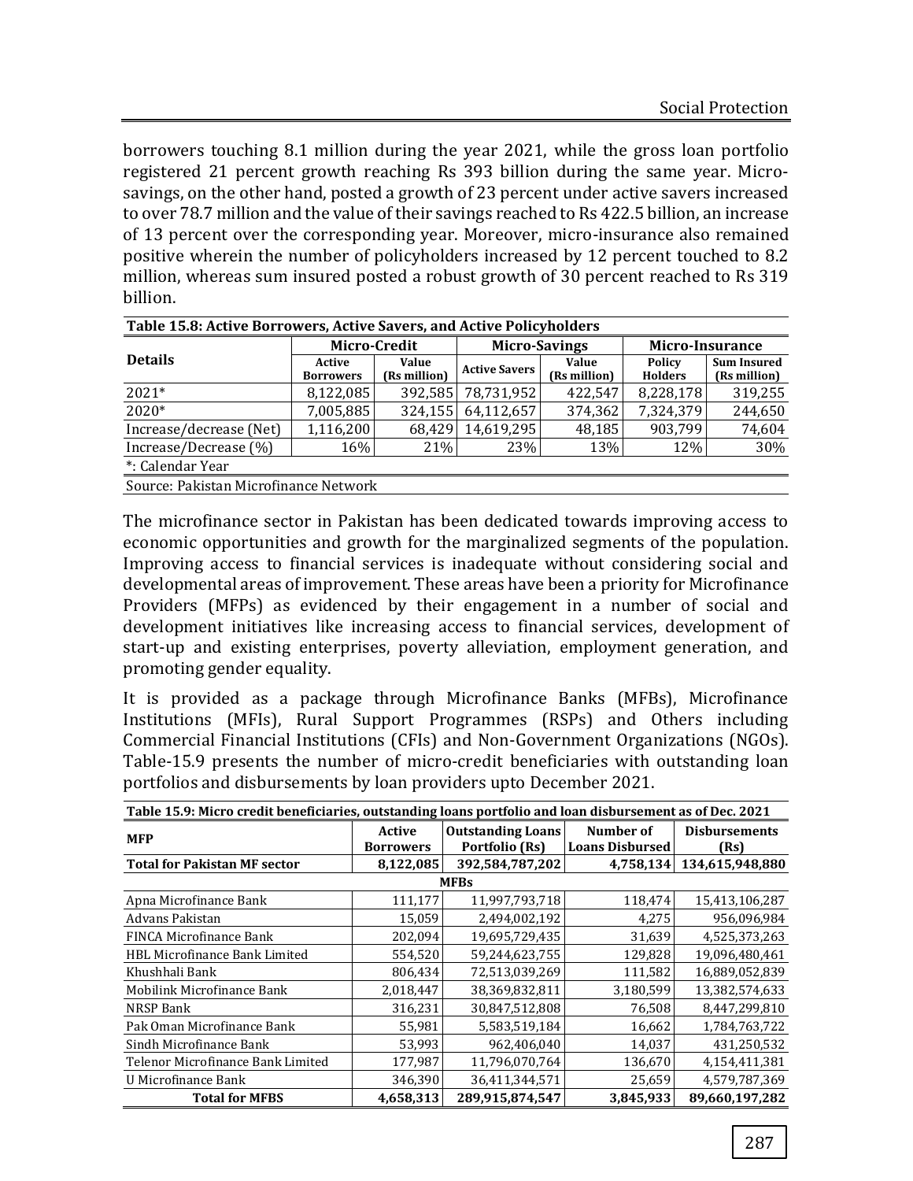borrowers touching 8.1 million during the year 2021, while the gross loan portfolio registered 21 percent growth reaching Rs 393 billion during the same year. Microsavings, on the other hand, posted a growth of 23 percent under active savers increased to over 78.7 million and the value of their savings reached to Rs 422.5 billion, an increase of 13 percent over the corresponding year. Moreover, micro-insurance also remained positive wherein the number of policyholders increased by 12 percent touched to 8.2 million, whereas sum insured posted a robust growth of 30 percent reached to Rs 319 billion.

| Table 15.8: Active Borrowers, Active Savers, and Active Policyholders |                            |                       |                      |                       |                                 |                                    |  |
|-----------------------------------------------------------------------|----------------------------|-----------------------|----------------------|-----------------------|---------------------------------|------------------------------------|--|
|                                                                       | Micro-Credit               |                       | <b>Micro-Savings</b> |                       | Micro-Insurance                 |                                    |  |
| <b>Details</b>                                                        | Active<br><b>Borrowers</b> | Value<br>(Rs million) | <b>Active Savers</b> | Value<br>(Rs million) | <b>Policy</b><br><b>Holders</b> | <b>Sum Insured</b><br>(Rs million) |  |
| $2021*$                                                               | 8,122,085                  | 392,585               | 78,731,952           | 422,547               | 8,228,178                       | 319,255                            |  |
| 2020*                                                                 | 7,005,885                  | 324,155               | 64,112,657           | 374,362               | 7,324,379                       | 244,650                            |  |
| Increase/decrease (Net)                                               | 1,116,200                  | 68,429                | 14,619,295           | 48,185                | 903,799                         | 74,604                             |  |
| Increase/Decrease (%)                                                 | 16%                        | 21%                   | 23%                  | 13%                   | 12%                             | 30%                                |  |
| *: Calendar Year                                                      |                            |                       |                      |                       |                                 |                                    |  |
| Source: Pakistan Microfinance Network                                 |                            |                       |                      |                       |                                 |                                    |  |

The microfinance sector in Pakistan has been dedicated towards improving access to economic opportunities and growth for the marginalized segments of the population. Improving access to financial services is inadequate without considering social and developmental areas of improvement. These areas have been a priority for Microfinance Providers (MFPs) as evidenced by their engagement in a number of social and development initiatives like increasing access to financial services, development of start-up and existing enterprises, poverty alleviation, employment generation, and promoting gender equality.

It is provided as a package through Microfinance Banks (MFBs), Microfinance Institutions (MFIs), Rural Support Programmes (RSPs) and Others including Commercial Financial Institutions (CFIs) and Non-Government Organizations (NGOs). Table-15.9 presents the number of micro-credit beneficiaries with outstanding loan portfolios and disbursements by loan providers upto December 2021.

| Table 15.9: Micro credit beneficiaries, outstanding loans portfolio and loan disbursement as of Dec. 2021 |                            |                                            |                                     |                              |  |  |  |
|-----------------------------------------------------------------------------------------------------------|----------------------------|--------------------------------------------|-------------------------------------|------------------------------|--|--|--|
| <b>MFP</b>                                                                                                | Active<br><b>Borrowers</b> | <b>Outstanding Loans</b><br>Portfolio (Rs) | Number of<br><b>Loans Disbursed</b> | <b>Disbursements</b><br>(Rs) |  |  |  |
| <b>Total for Pakistan MF sector</b>                                                                       | 8,122,085                  | 392,584,787,202                            | 4,758,134                           | 134,615,948,880              |  |  |  |
|                                                                                                           |                            | <b>MFBs</b>                                |                                     |                              |  |  |  |
| Apna Microfinance Bank                                                                                    | 111,177                    | 11,997,793,718                             | 118,474                             | 15,413,106,287               |  |  |  |
| Advans Pakistan                                                                                           | 15,059                     | 2,494,002,192                              | 4,275                               | 956,096,984                  |  |  |  |
| FINCA Microfinance Bank                                                                                   | 202,094                    | 19,695,729,435                             | 31,639                              | 4,525,373,263                |  |  |  |
| HBL Microfinance Bank Limited                                                                             | 554,520                    | 59,244,623,755                             | 129,828                             | 19,096,480,461               |  |  |  |
| Khushhali Bank                                                                                            | 806,434                    | 72,513,039,269                             | 111,582                             | 16,889,052,839               |  |  |  |
| Mobilink Microfinance Bank                                                                                | 2,018,447                  | 38,369,832,811                             | 3,180,599                           | 13,382,574,633               |  |  |  |
| NRSP Bank                                                                                                 | 316,231                    | 30,847,512,808                             | 76,508                              | 8,447,299,810                |  |  |  |
| Pak Oman Microfinance Bank                                                                                | 55,981                     | 5,583,519,184                              | 16,662                              | 1,784,763,722                |  |  |  |
| Sindh Microfinance Bank                                                                                   | 53,993                     | 962.406.040                                | 14,037                              | 431,250,532                  |  |  |  |
| Telenor Microfinance Bank Limited                                                                         | 177,987                    | 11,796,070,764                             | 136,670                             | 4,154,411,381                |  |  |  |
| U Microfinance Bank                                                                                       | 346,390                    | 36,411,344,571                             | 25,659                              | 4,579,787,369                |  |  |  |
| <b>Total for MFBS</b>                                                                                     | 4,658,313                  | 289,915,874,547                            | 3,845,933                           | 89,660,197,282               |  |  |  |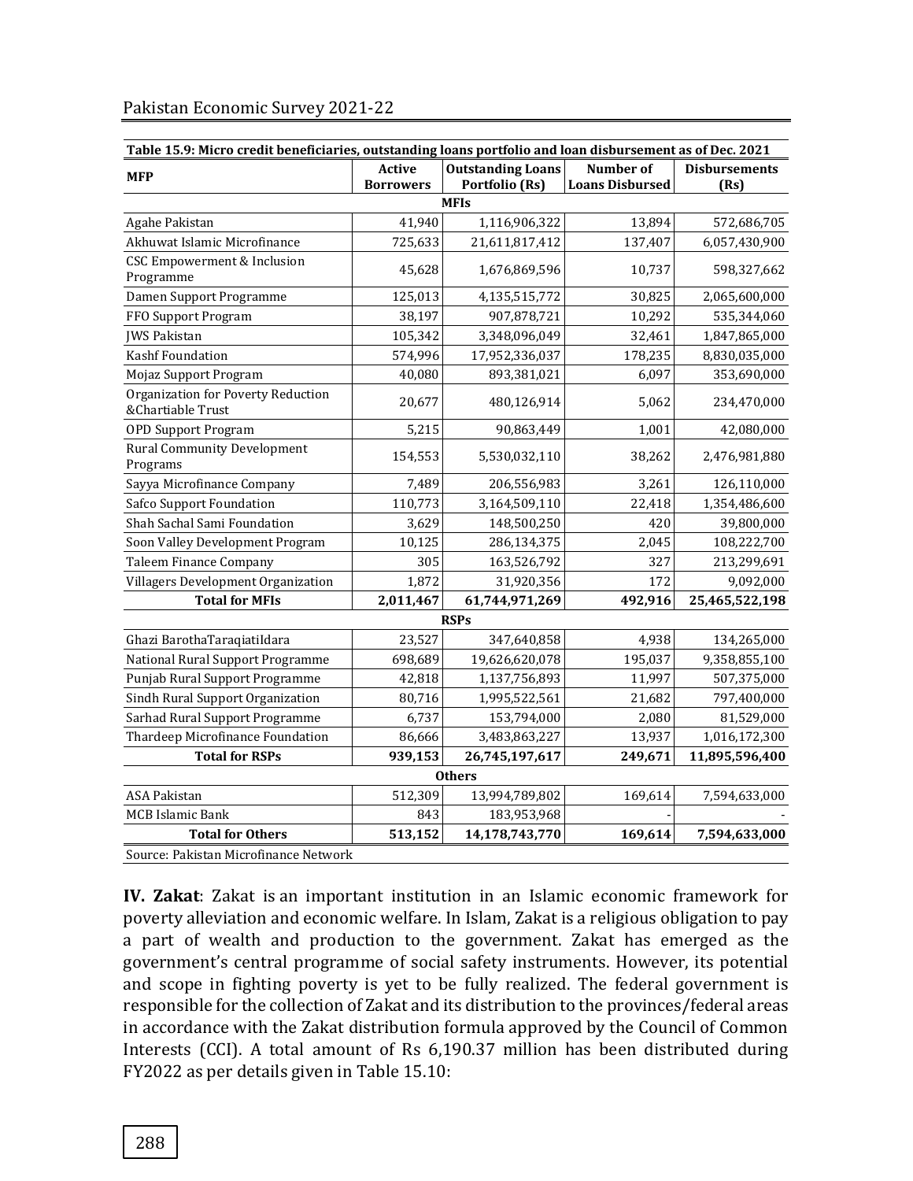| Table 15.9: Micro credit beneficiaries, outstanding loans portfolio and loan disbursement as of Dec. 2021 |                                                                                 |                           |                                            |                              |  |  |  |  |
|-----------------------------------------------------------------------------------------------------------|---------------------------------------------------------------------------------|---------------------------|--------------------------------------------|------------------------------|--|--|--|--|
| <b>MFP</b>                                                                                                | <b>Outstanding Loans</b><br><b>Active</b><br>Portfolio (Rs)<br><b>Borrowers</b> |                           | <b>Number of</b><br><b>Loans Disbursed</b> | <b>Disbursements</b><br>(Rs) |  |  |  |  |
| <b>MFIs</b>                                                                                               |                                                                                 |                           |                                            |                              |  |  |  |  |
| Agahe Pakistan                                                                                            | 41,940                                                                          | 1,116,906,322             | 13,894                                     | 572,686,705                  |  |  |  |  |
| Akhuwat Islamic Microfinance                                                                              | 725,633                                                                         | 21,611,817,412            | 137,407                                    | 6,057,430,900                |  |  |  |  |
| CSC Empowerment & Inclusion<br>Programme                                                                  | 45,628                                                                          | 1,676,869,596             | 10,737                                     | 598,327,662                  |  |  |  |  |
| Damen Support Programme                                                                                   | 125,013                                                                         | 4,135,515,772             | 30,825                                     | 2,065,600,000                |  |  |  |  |
| FFO Support Program                                                                                       | 38,197                                                                          | 907,878,721               | 10,292                                     | 535,344,060                  |  |  |  |  |
| <b>JWS Pakistan</b>                                                                                       | 105,342                                                                         | 3,348,096,049             | 32,461<br>1,847,865,000                    |                              |  |  |  |  |
| Kashf Foundation                                                                                          | 574,996                                                                         | 178,235<br>17,952,336,037 |                                            | 8,830,035,000                |  |  |  |  |
| Mojaz Support Program                                                                                     | 40,080                                                                          | 893,381,021               | 6,097                                      | 353,690,000                  |  |  |  |  |
| Organization for Poverty Reduction<br>&Chartiable Trust                                                   | 20,677                                                                          | 480,126,914               | 5,062                                      | 234,470,000                  |  |  |  |  |
| <b>OPD Support Program</b>                                                                                | 5,215                                                                           | 90,863,449                | 1,001                                      | 42,080,000                   |  |  |  |  |
| <b>Rural Community Development</b><br>Programs                                                            | 154,553                                                                         | 5,530,032,110             | 38,262                                     | 2,476,981,880                |  |  |  |  |
| Sayya Microfinance Company                                                                                | 7,489                                                                           | 206,556,983               | 3,261                                      | 126,110,000                  |  |  |  |  |
| Safco Support Foundation                                                                                  | 110,773                                                                         | 3,164,509,110             | 22,418                                     | 1,354,486,600                |  |  |  |  |
| Shah Sachal Sami Foundation                                                                               | 3,629                                                                           | 148,500,250               | 420                                        | 39,800,000                   |  |  |  |  |
| Soon Valley Development Program                                                                           | 10,125                                                                          | 286,134,375               | 2,045                                      | 108,222,700                  |  |  |  |  |
| Taleem Finance Company                                                                                    | 305                                                                             | 163,526,792               | 327                                        | 213,299,691                  |  |  |  |  |
| Villagers Development Organization                                                                        | 1,872                                                                           | 31,920,356                | 172                                        | 9,092,000                    |  |  |  |  |
| <b>Total for MFIs</b>                                                                                     | 2,011,467                                                                       | 61,744,971,269            | 492,916                                    | 25,465,522,198               |  |  |  |  |
|                                                                                                           |                                                                                 | <b>RSPs</b>               |                                            |                              |  |  |  |  |
| Ghazi BarothaTaraqiatiIdara                                                                               | 23,527                                                                          | 347,640,858               | 4,938                                      | 134,265,000                  |  |  |  |  |
| National Rural Support Programme                                                                          | 698,689                                                                         | 19,626,620,078            | 195,037                                    | 9,358,855,100                |  |  |  |  |
| Punjab Rural Support Programme                                                                            | 42,818                                                                          | 1,137,756,893             | 11,997                                     | 507,375,000                  |  |  |  |  |
| Sindh Rural Support Organization                                                                          | 80,716                                                                          | 1,995,522,561             | 21,682                                     | 797,400,000                  |  |  |  |  |
| Sarhad Rural Support Programme                                                                            | 6,737                                                                           | 153,794,000               | 2,080                                      | 81,529,000                   |  |  |  |  |
| Thardeep Microfinance Foundation                                                                          | 86,666                                                                          | 3,483,863,227             | 13,937                                     | 1,016,172,300                |  |  |  |  |
| <b>Total for RSPs</b>                                                                                     | 939,153                                                                         | 26,745,197,617            | 249,671                                    | 11,895,596,400               |  |  |  |  |
| <b>Others</b>                                                                                             |                                                                                 |                           |                                            |                              |  |  |  |  |
| <b>ASA Pakistan</b>                                                                                       | 512,309                                                                         | 13,994,789,802            | 169,614                                    | 7,594,633,000                |  |  |  |  |
| MCB Islamic Bank                                                                                          | 843                                                                             | 183,953,968               |                                            |                              |  |  |  |  |
| <b>Total for Others</b>                                                                                   | 513,152                                                                         | 14,178,743,770            | 169,614                                    | 7,594,633,000                |  |  |  |  |

#### Pakistan Economic Survey 2021-22

Source: Pakistan Microfinance Network

**IV. Zakat**: Zakat is an important institution in an Islamic economic framework for poverty alleviation and economic welfare. In Islam, Zakat is a religious obligation to pay a part of wealth and production to the government. Zakat has emerged as the government's central programme of social safety instruments. However, its potential and scope in fighting poverty is yet to be fully realized. The federal government is responsible for the collection of Zakat and its distribution to the provinces/federal areas in accordance with the Zakat distribution formula approved by the Council of Common Interests (CCI). A total amount of Rs 6,190.37 million has been distributed during FY2022 as per details given in Table 15.10: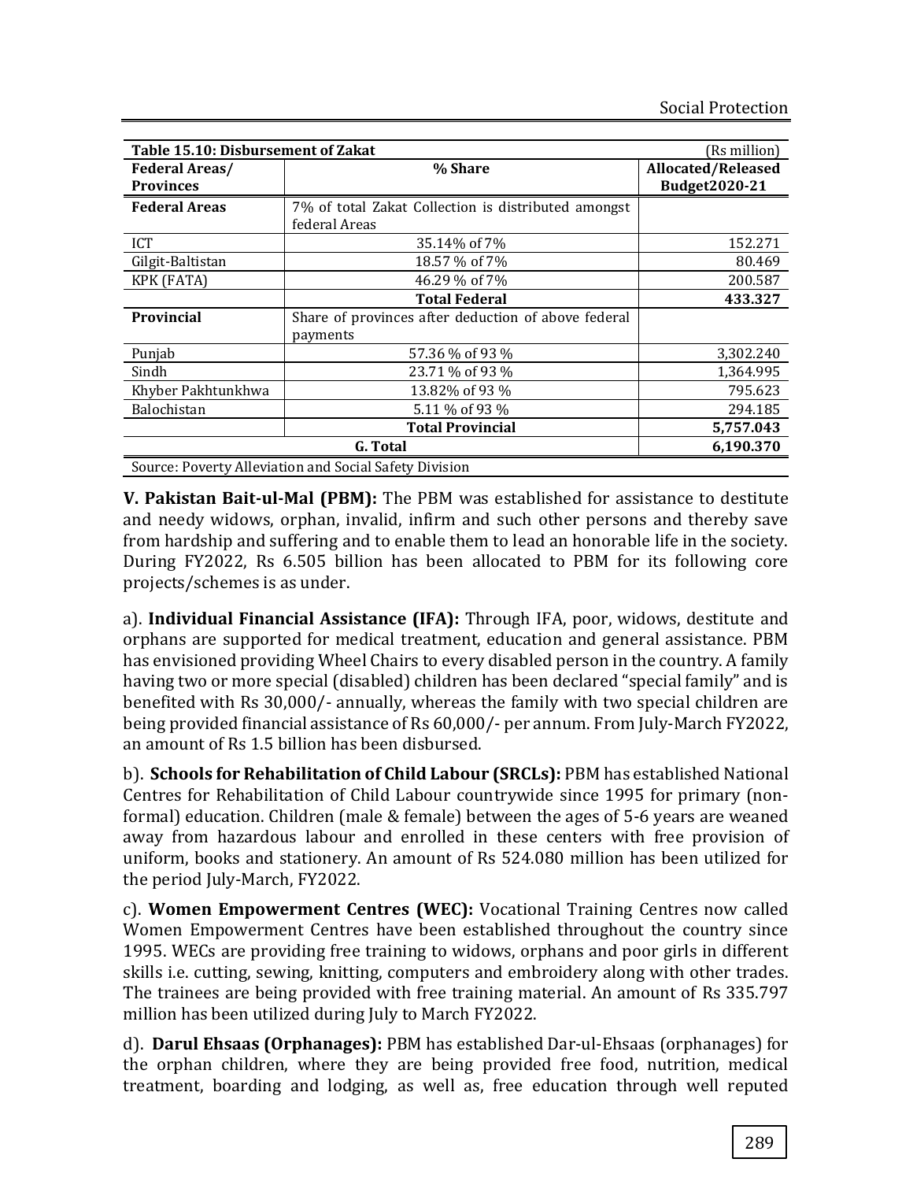| Table 15.10: Disbursement of Zakat                     | (Rs million)                                        |                    |  |  |  |  |
|--------------------------------------------------------|-----------------------------------------------------|--------------------|--|--|--|--|
| <b>Federal Areas/</b>                                  | % Share                                             | Allocated/Released |  |  |  |  |
| <b>Provinces</b>                                       |                                                     | Budget2020-21      |  |  |  |  |
| <b>Federal Areas</b>                                   | 7% of total Zakat Collection is distributed amongst |                    |  |  |  |  |
|                                                        | federal Areas                                       |                    |  |  |  |  |
| ICT                                                    | 35.14% of 7%                                        | 152.271            |  |  |  |  |
| Gilgit-Baltistan                                       | 18.57 % of 7%                                       | 80.469             |  |  |  |  |
| <b>KPK (FATA)</b>                                      | 46.29 % of 7%                                       | 200.587            |  |  |  |  |
|                                                        | <b>Total Federal</b>                                | 433.327            |  |  |  |  |
| Provincial                                             | Share of provinces after deduction of above federal |                    |  |  |  |  |
|                                                        | payments                                            |                    |  |  |  |  |
| Punjab                                                 | 57.36 % of 93 %                                     | 3,302.240          |  |  |  |  |
| Sindh                                                  | 23.71 % of 93 %                                     | 1,364.995          |  |  |  |  |
| Khyber Pakhtunkhwa                                     | 13.82% of 93 %                                      | 795.623            |  |  |  |  |
| Balochistan                                            | 5.11 % of 93 %                                      | 294.185            |  |  |  |  |
|                                                        | <b>Total Provincial</b>                             | 5,757.043          |  |  |  |  |
|                                                        | 6,190.370                                           |                    |  |  |  |  |
| Source: Poverty Alleviation and Social Safety Division |                                                     |                    |  |  |  |  |

**V. Pakistan Bait-ul-Mal (PBM):** The PBM was established for assistance to destitute and needy widows, orphan, invalid, infirm and such other persons and thereby save from hardship and suffering and to enable them to lead an honorable life in the society. During FY2022, Rs 6.505 billion has been allocated to PBM for its following core projects/schemes is as under.

a). **Individual Financial Assistance (IFA):** Through IFA, poor, widows, destitute and orphans are supported for medical treatment, education and general assistance. PBM has envisioned providing Wheel Chairs to every disabled person in the country. A family having two or more special (disabled) children has been declared "special family" and is benefited with Rs 30,000/- annually, whereas the family with two special children are being provided financial assistance of Rs 60,000/- per annum. From July-March FY2022, an amount of Rs 1.5 billion has been disbursed.

b). **Schools for Rehabilitation of Child Labour (SRCLs):** PBM has established National Centres for Rehabilitation of Child Labour countrywide since 1995 for primary (nonformal) education. Children (male & female) between the ages of 5-6 years are weaned away from hazardous labour and enrolled in these centers with free provision of uniform, books and stationery. An amount of Rs 524.080 million has been utilized for the period July-March, FY2022.

c). **Women Empowerment Centres (WEC):** Vocational Training Centres now called Women Empowerment Centres have been established throughout the country since 1995. WECs are providing free training to widows, orphans and poor girls in different skills i.e. cutting, sewing, knitting, computers and embroidery along with other trades. The trainees are being provided with free training material. An amount of Rs 335.797 million has been utilized during July to March FY2022.

d). **Darul Ehsaas (Orphanages):** PBM has established Dar-ul-Ehsaas (orphanages) for the orphan children, where they are being provided free food, nutrition, medical treatment, boarding and lodging, as well as, free education through well reputed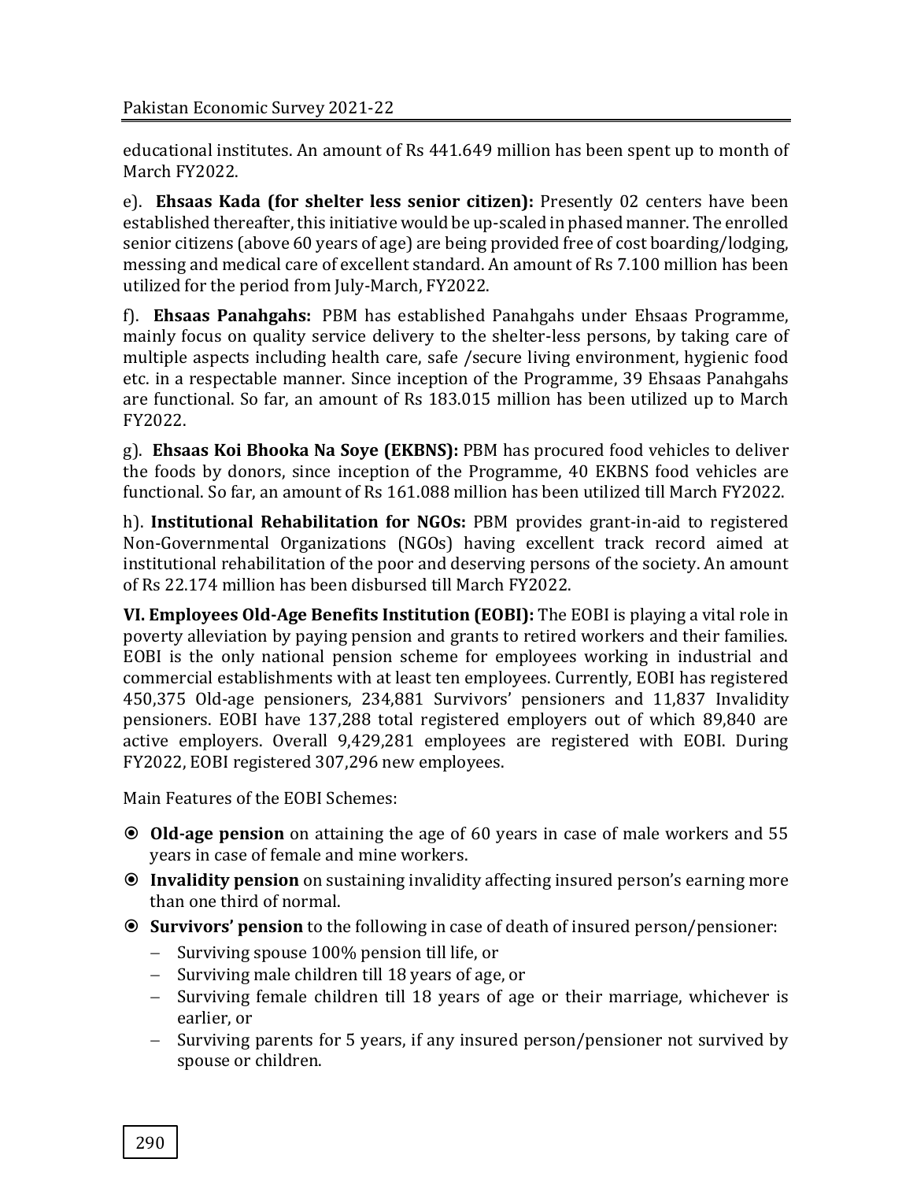educational institutes. An amount of Rs 441.649 million has been spent up to month of March FY2022.

e). **Ehsaas Kada (for shelter less senior citizen):** Presently 02 centers have been established thereafter, this initiative would be up-scaled in phased manner. The enrolled senior citizens (above 60 years of age) are being provided free of cost boarding/lodging, messing and medical care of excellent standard. An amount of Rs 7.100 million has been utilized for the period from July-March, FY2022.

f). **Ehsaas Panahgahs:** PBM has established Panahgahs under Ehsaas Programme, mainly focus on quality service delivery to the shelter-less persons, by taking care of multiple aspects including health care, safe /secure living environment, hygienic food etc. in a respectable manner. Since inception of the Programme, 39 Ehsaas Panahgahs are functional. So far, an amount of Rs 183.015 million has been utilized up to March FY2022.

g). **Ehsaas Koi Bhooka Na Soye (EKBNS):** PBM has procured food vehicles to deliver the foods by donors, since inception of the Programme, 40 EKBNS food vehicles are functional. So far, an amount of Rs 161.088 million has been utilized till March FY2022.

h). **Institutional Rehabilitation for NGOs:** PBM provides grant-in-aid to registered Non-Governmental Organizations (NGOs) having excellent track record aimed at institutional rehabilitation of the poor and deserving persons of the society. An amount of Rs 22.174 million has been disbursed till March FY2022.

**VI. Employees Old-Age Benefits Institution (EOBI):** The EOBI is playing a vital role in poverty alleviation by paying pension and grants to retired workers and their families. EOBI is the only national pension scheme for employees working in industrial and commercial establishments with at least ten employees. Currently, EOBI has registered 450,375 Old-age pensioners, 234,881 Survivors' pensioners and 11,837 Invalidity pensioners. EOBI have 137,288 total registered employers out of which 89,840 are active employers. Overall 9,429,281 employees are registered with EOBI. During FY2022, EOBI registered 307,296 new employees.

Main Features of the EOBI Schemes:

- **Old-age pension** on attaining the age of 60 years in case of male workers and 55 years in case of female and mine workers.
- **Invalidity pension** on sustaining invalidity affecting insured person's earning more than one third of normal.
- **Survivors' pension** to the following in case of death of insured person/pensioner:
	- − Surviving spouse 100% pension till life, or
	- − Surviving male children till 18 years of age, or
	- − Surviving female children till 18 years of age or their marriage, whichever is earlier, or
	- − Surviving parents for 5 years, if any insured person/pensioner not survived by spouse or children.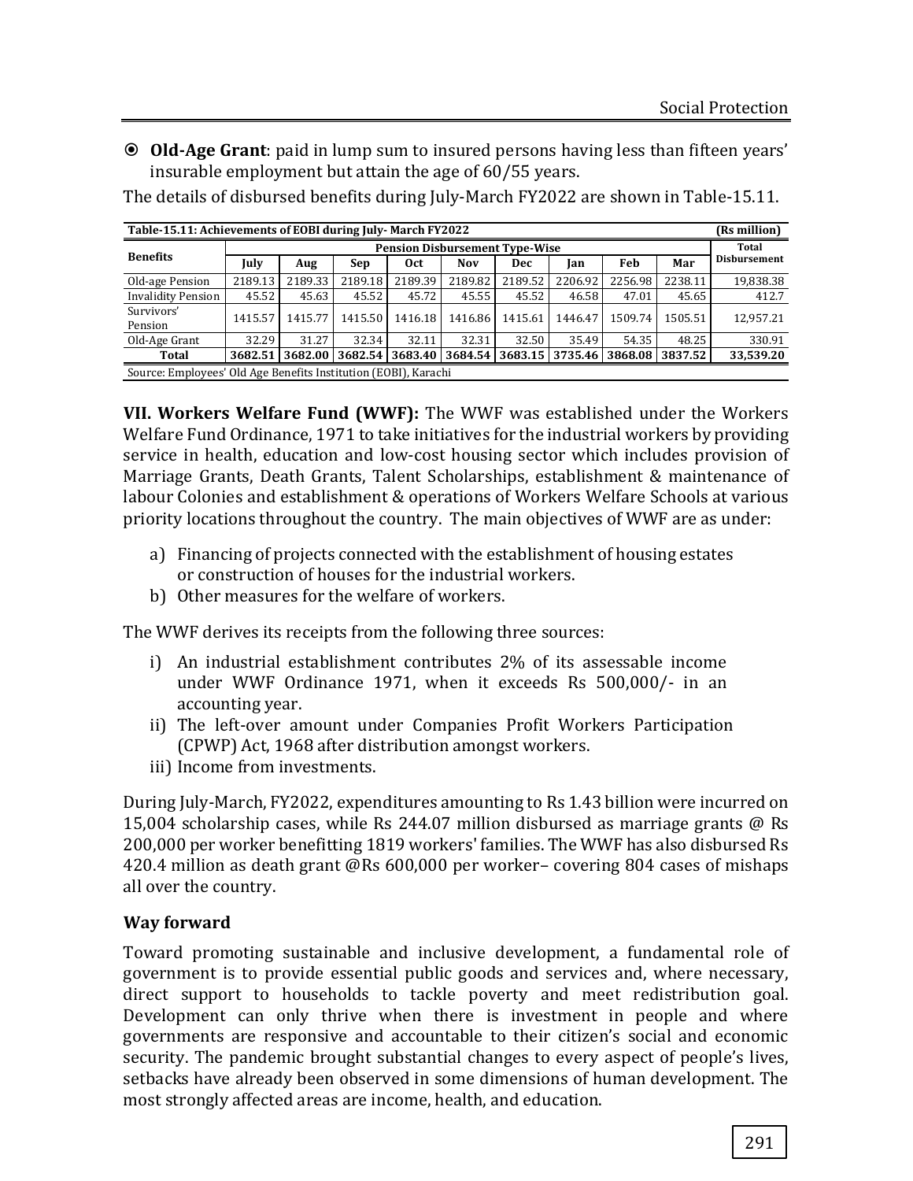**Old-Age Grant**: paid in lump sum to insured persons having less than fifteen years' insurable employment but attain the age of 60/55 years.

The details of disbursed benefits during July-March FY2022 are shown in Table-15.11.

| Table-15.11: Achievements of EOBI during July-March FY2022      |                                       |         |         |                 |                                                         |         | (Rs million) |         |         |              |
|-----------------------------------------------------------------|---------------------------------------|---------|---------|-----------------|---------------------------------------------------------|---------|--------------|---------|---------|--------------|
| <b>Benefits</b>                                                 | <b>Pension Disbursement Type-Wise</b> |         |         |                 |                                                         |         |              | Total   |         |              |
|                                                                 | July                                  | Aug     | Sep     | 0 <sub>ct</sub> | Nov                                                     | Dec     | Ian          | Feb     | Mar     | Disbursement |
| Old-age Pension                                                 | 2189.13                               | 2189.33 | 2189.18 | 2189.39         | 2189.82                                                 | 2189.52 | 2206.92      | 2256.98 | 2238.11 | 19,838.38    |
| <b>Invalidity Pension</b>                                       | 45.52                                 | 45.63   | 45.52   | 45.72           | 45.55                                                   | 45.52   | 46.58        | 47.01   | 45.65   | 412.7        |
| Survivors'<br>Pension                                           | 1415.57                               | 1415.77 | 1415.50 | 1416.18         | 1416.86                                                 | 1415.61 | 1446.47      | 1509.74 | 1505.51 | 12.957.21    |
| Old-Age Grant                                                   | 32.29                                 | 31.27   | 32.34   | 32.11           | 32.31                                                   | 32.50   | 35.49        | 54.35   | 48.25   | 330.91       |
| Total                                                           | 3682.51                               | 3682.00 |         |                 | 3682.54 3683.40 3684.54 3683.15 3735.46 3868.08 3837.52 |         |              |         |         | 33,539.20    |
| Source: Employees' Old Age Benefits Institution (EOBI), Karachi |                                       |         |         |                 |                                                         |         |              |         |         |              |

**VII. Workers Welfare Fund (WWF):** The WWF was established under the Workers Welfare Fund Ordinance, 1971 to take initiatives for the industrial workers by providing service in health, education and low-cost housing sector which includes provision of Marriage Grants, Death Grants, Talent Scholarships, establishment & maintenance of labour Colonies and establishment & operations of Workers Welfare Schools at various priority locations throughout the country. The main objectives of WWF are as under:

- a) Financing of projects connected with the establishment of housing estates or construction of houses for the industrial workers.
- b) Other measures for the welfare of workers.

The WWF derives its receipts from the following three sources:

- i) An industrial establishment contributes 2% of its assessable income under WWF Ordinance 1971, when it exceeds Rs 500,000/- in an accounting year.
- ii) The left-over amount under Companies Profit Workers Participation (CPWP) Act, 1968 after distribution amongst workers.
- iii) Income from investments.

During July-March, FY2022, expenditures amounting to Rs 1.43 billion were incurred on 15,004 scholarship cases, while Rs 244.07 million disbursed as marriage grants @ Rs 200,000 per worker benefitting 1819 workers' families. The WWF has also disbursed Rs 420.4 million as death grant @Rs 600,000 per worker– covering 804 cases of mishaps all over the country.

### **Way forward**

Toward promoting sustainable and inclusive development, a fundamental role of government is to provide essential public goods and services and, where necessary, direct support to households to tackle poverty and meet redistribution goal. Development can only thrive when there is investment in people and where governments are responsive and accountable to their citizen's social and economic security. The pandemic brought substantial changes to every aspect of people's lives, setbacks have already been observed in some dimensions of human development. The most strongly affected areas are income, health, and education.